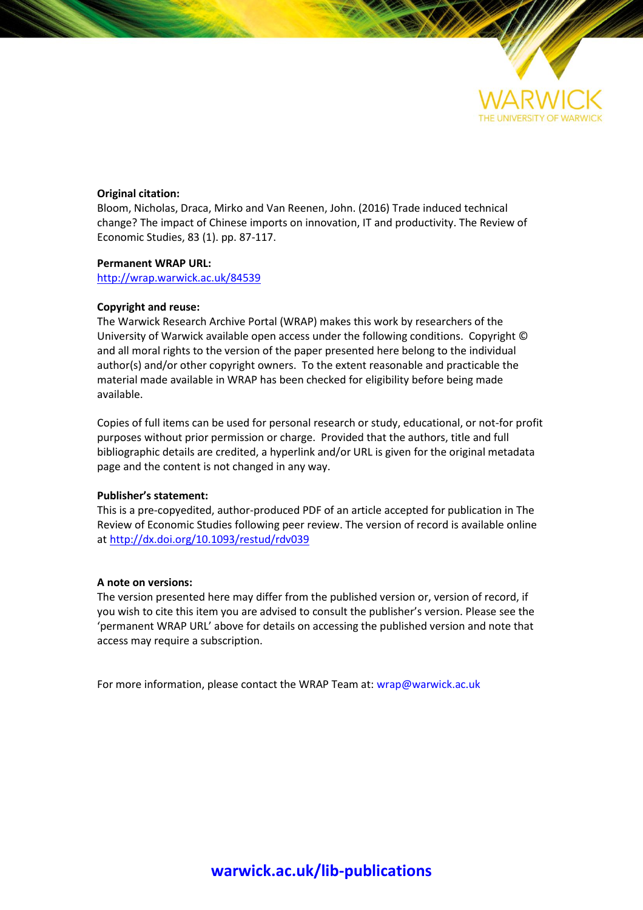

#### **Original citation:**

Bloom, Nicholas, Draca, Mirko and Van Reenen, John. (2016) Trade induced technical change? The impact of Chinese imports on innovation, IT and productivity. The Review of Economic Studies, 83 (1). pp. 87-117.

#### **Permanent WRAP URL:**

<http://wrap.warwick.ac.uk/84539>

#### **Copyright and reuse:**

The Warwick Research Archive Portal (WRAP) makes this work by researchers of the University of Warwick available open access under the following conditions. Copyright © and all moral rights to the version of the paper presented here belong to the individual author(s) and/or other copyright owners. To the extent reasonable and practicable the material made available in WRAP has been checked for eligibility before being made available.

Copies of full items can be used for personal research or study, educational, or not-for profit purposes without prior permission or charge. Provided that the authors, title and full bibliographic details are credited, a hyperlink and/or URL is given for the original metadata page and the content is not changed in any way.

#### **Publisher's statement:**

This is a pre-copyedited, author-produced PDF of an article accepted for publication in The Review of Economic Studies following peer review. The version of record is available online at <http://dx.doi.org/10.1093/restud/rdv039>

#### **A note on versions:**

The version presented here may differ from the published version or, version of record, if you wish to cite this item you are advised to consult the publisher's version. Please see the 'permanent WRAP URL' above for details on accessing the published version and note that access may require a subscription.

For more information, please contact the WRAP Team at[: wrap@warwick.ac.uk](mailto:wrap@warwick.ac.uk)

## **[warwick.ac.uk/lib-publications](http://go.warwick.ac.uk/lib-publications)**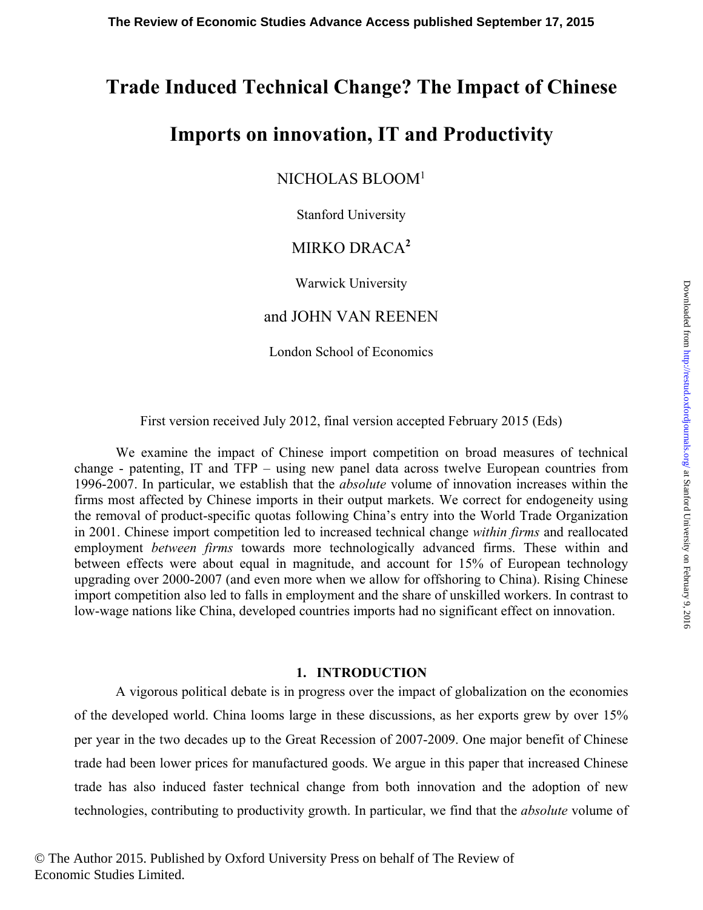# **Trade Induced Technical Change? The Impact of Chinese**

# **Imports on innovation, IT and Productivity**

## NICHOLAS BLOOM1

Stanford University

## MIRKO DRACA**<sup>2</sup>**

Warwick University

## and JOHN VAN REENEN

London School of Economics

First version received July 2012, final version accepted February 2015 (Eds)

We examine the impact of Chinese import competition on broad measures of technical change - patenting, IT and TFP – using new panel data across twelve European countries from 1996-2007. In particular, we establish that the *absolute* volume of innovation increases within the firms most affected by Chinese imports in their output markets. We correct for endogeneity using the removal of product-specific quotas following China's entry into the World Trade Organization in 2001. Chinese import competition led to increased technical change *within firms* and reallocated employment *between firms* towards more technologically advanced firms. These within and between effects were about equal in magnitude, and account for 15% of European technology upgrading over 2000-2007 (and even more when we allow for offshoring to China). Rising Chinese import competition also led to falls in employment and the share of unskilled workers. In contrast to low-wage nations like China, developed countries imports had no significant effect on innovation.

## **1. INTRODUCTION**

A vigorous political debate is in progress over the impact of globalization on the economies of the developed world. China looms large in these discussions, as her exports grew by over 15% per year in the two decades up to the Great Recession of 2007-2009. One major benefit of Chinese trade had been lower prices for manufactured goods. We argue in this paper that increased Chinese trade has also induced faster technical change from both innovation and the adoption of new technologies, contributing to productivity growth. In particular, we find that the *absolute* volume of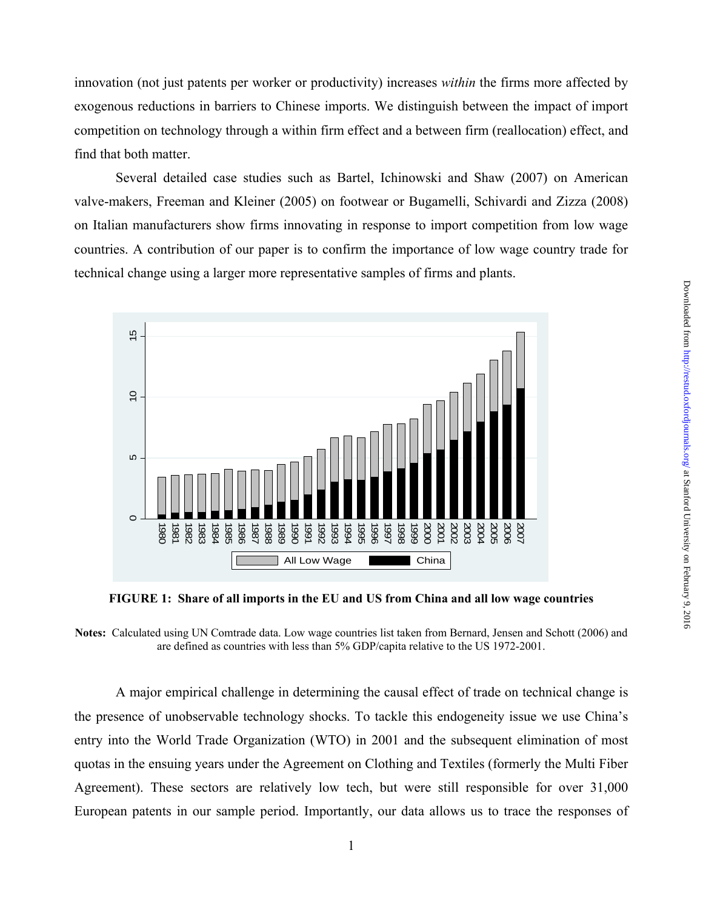innovation (not just patents per worker or productivity) increases *within* the firms more affected by exogenous reductions in barriers to Chinese imports. We distinguish between the impact of import competition on technology through a within firm effect and a between firm (reallocation) effect, and find that both matter.

Several detailed case studies such as Bartel, Ichinowski and Shaw (2007) on American valve-makers, Freeman and Kleiner (2005) on footwear or Bugamelli, Schivardi and Zizza (2008) on Italian manufacturers show firms innovating in response to import competition from low wage countries. A contribution of our paper is to confirm the importance of low wage country trade for technical change using a larger more representative samples of firms and plants.



**FIGURE 1: Share of all imports in the EU and US from China and all low wage countries**

**Notes:** Calculated using UN Comtrade data. Low wage countries list taken from Bernard, Jensen and Schott (2006) and are defined as countries with less than 5% GDP/capita relative to the US 1972-2001.

A major empirical challenge in determining the causal effect of trade on technical change is the presence of unobservable technology shocks. To tackle this endogeneity issue we use China's entry into the World Trade Organization (WTO) in 2001 and the subsequent elimination of most quotas in the ensuing years under the Agreement on Clothing and Textiles (formerly the Multi Fiber Agreement). These sectors are relatively low tech, but were still responsible for over 31,000 European patents in our sample period. Importantly, our data allows us to trace the responses of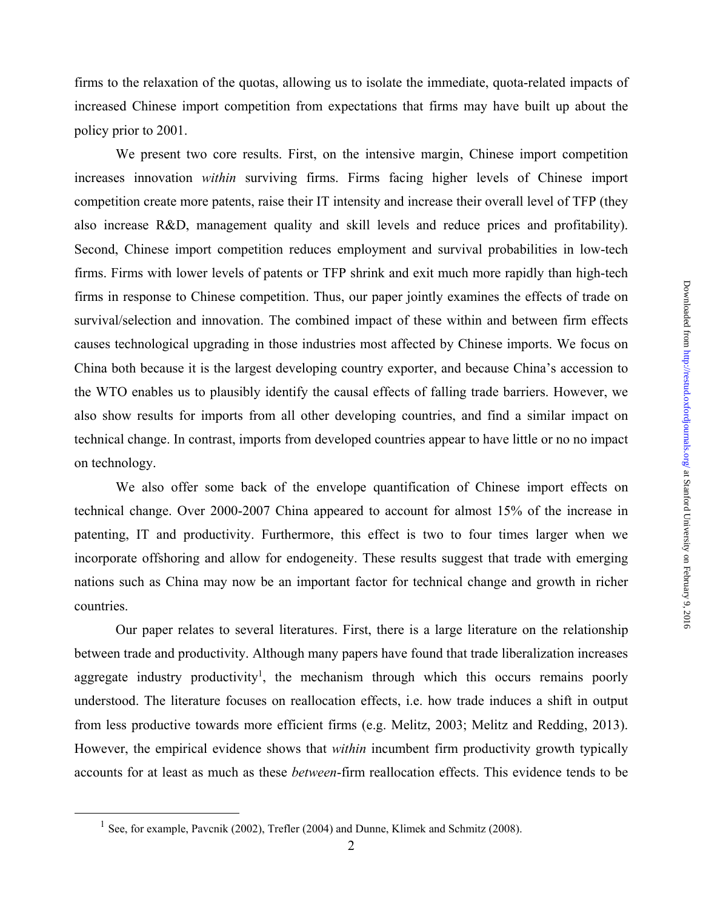firms to the relaxation of the quotas, allowing us to isolate the immediate, quota-related impacts of increased Chinese import competition from expectations that firms may have built up about the policy prior to 2001.

 We present two core results. First, on the intensive margin, Chinese import competition increases innovation *within* surviving firms. Firms facing higher levels of Chinese import competition create more patents, raise their IT intensity and increase their overall level of TFP (they also increase R&D, management quality and skill levels and reduce prices and profitability). Second, Chinese import competition reduces employment and survival probabilities in low-tech firms. Firms with lower levels of patents or TFP shrink and exit much more rapidly than high-tech firms in response to Chinese competition. Thus, our paper jointly examines the effects of trade on survival/selection and innovation. The combined impact of these within and between firm effects causes technological upgrading in those industries most affected by Chinese imports. We focus on China both because it is the largest developing country exporter, and because China's accession to the WTO enables us to plausibly identify the causal effects of falling trade barriers. However, we also show results for imports from all other developing countries, and find a similar impact on technical change. In contrast, imports from developed countries appear to have little or no no impact on technology.

 We also offer some back of the envelope quantification of Chinese import effects on technical change. Over 2000-2007 China appeared to account for almost 15% of the increase in patenting, IT and productivity. Furthermore, this effect is two to four times larger when we incorporate offshoring and allow for endogeneity. These results suggest that trade with emerging nations such as China may now be an important factor for technical change and growth in richer countries.

 Our paper relates to several literatures. First, there is a large literature on the relationship between trade and productivity. Although many papers have found that trade liberalization increases aggregate industry productivity<sup>1</sup>, the mechanism through which this occurs remains poorly understood. The literature focuses on reallocation effects, i.e. how trade induces a shift in output from less productive towards more efficient firms (e.g. Melitz, 2003; Melitz and Redding, 2013). However, the empirical evidence shows that *within* incumbent firm productivity growth typically accounts for at least as much as these *between*-firm reallocation effects. This evidence tends to be

<sup>&</sup>lt;sup>1</sup> See, for example, Pavcnik (2002), Trefler (2004) and Dunne, Klimek and Schmitz (2008).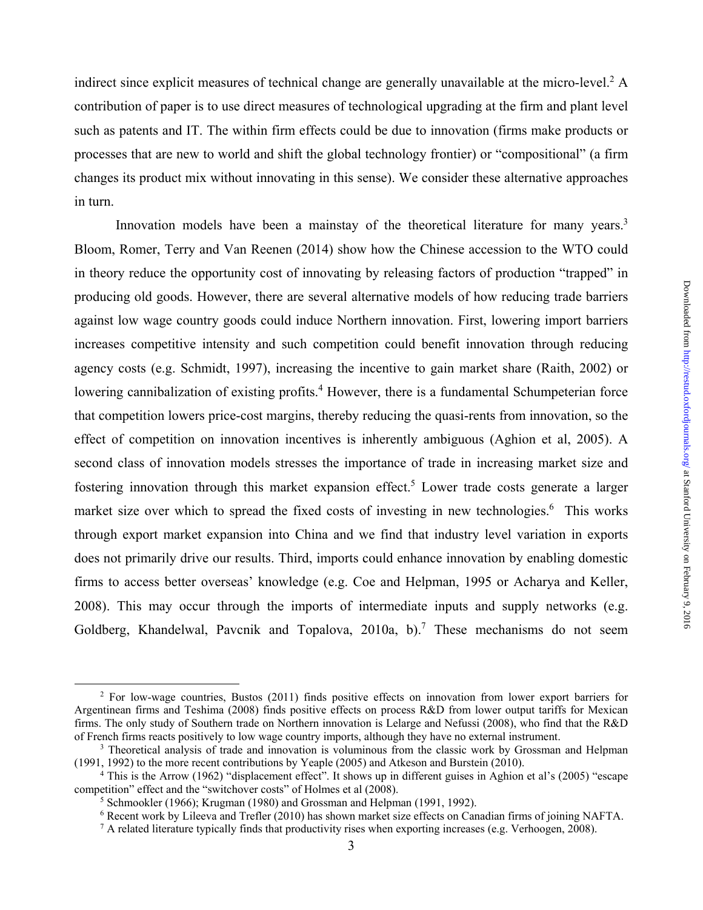indirect since explicit measures of technical change are generally unavailable at the micro-level.<sup>2</sup> A contribution of paper is to use direct measures of technological upgrading at the firm and plant level such as patents and IT. The within firm effects could be due to innovation (firms make products or processes that are new to world and shift the global technology frontier) or "compositional" (a firm changes its product mix without innovating in this sense). We consider these alternative approaches in turn.

Innovation models have been a mainstay of the theoretical literature for many years.<sup>3</sup> Bloom, Romer, Terry and Van Reenen (2014) show how the Chinese accession to the WTO could in theory reduce the opportunity cost of innovating by releasing factors of production "trapped" in producing old goods. However, there are several alternative models of how reducing trade barriers against low wage country goods could induce Northern innovation. First, lowering import barriers increases competitive intensity and such competition could benefit innovation through reducing agency costs (e.g. Schmidt, 1997), increasing the incentive to gain market share (Raith, 2002) or lowering cannibalization of existing profits.<sup>4</sup> However, there is a fundamental Schumpeterian force that competition lowers price-cost margins, thereby reducing the quasi-rents from innovation, so the effect of competition on innovation incentives is inherently ambiguous (Aghion et al, 2005). A second class of innovation models stresses the importance of trade in increasing market size and fostering innovation through this market expansion effect.<sup>5</sup> Lower trade costs generate a larger market size over which to spread the fixed costs of investing in new technologies.<sup>6</sup> This works through export market expansion into China and we find that industry level variation in exports does not primarily drive our results. Third, imports could enhance innovation by enabling domestic firms to access better overseas' knowledge (e.g. Coe and Helpman, 1995 or Acharya and Keller, 2008). This may occur through the imports of intermediate inputs and supply networks (e.g. Goldberg, Khandelwal, Pavcnik and Topalova, 2010a, b).<sup>7</sup> These mechanisms do not seem

 <sup>2</sup> <sup>2</sup> For low-wage countries, Bustos (2011) finds positive effects on innovation from lower export barriers for Argentinean firms and Teshima (2008) finds positive effects on process R&D from lower output tariffs for Mexican firms. The only study of Southern trade on Northern innovation is Lelarge and Nefussi (2008), who find that the R&D of French firms reacts positively to low wage country imports, although they have no external instrument. 3

<sup>&</sup>lt;sup>3</sup> Theoretical analysis of trade and innovation is voluminous from the classic work by Grossman and Helpman (1991, 1992) to the more recent contributions by Yeaple (2005) and Atkeson and Burstein (2010). 4

<sup>&</sup>lt;sup>4</sup> This is the Arrow (1962) "displacement effect". It shows up in different guises in Aghion et al's (2005) "escape competition" effect and the "switchover costs" of Holmes et al (2008).

<sup>&</sup>lt;sup>5</sup> Schmookler (1966); Krugman (1980) and Grossman and Helpman (1991, 1992).

<sup>&</sup>lt;sup>6</sup> Recent work by Lileeva and Trefler (2010) has shown market size effects on Canadian firms of joining NAFTA.<br><sup>7</sup> A related literature typically finds that productivity rises when exporting increases (e.g. Verboogen, 20

 $^7$  A related literature typically finds that productivity rises when exporting increases (e.g. Verhoogen, 2008).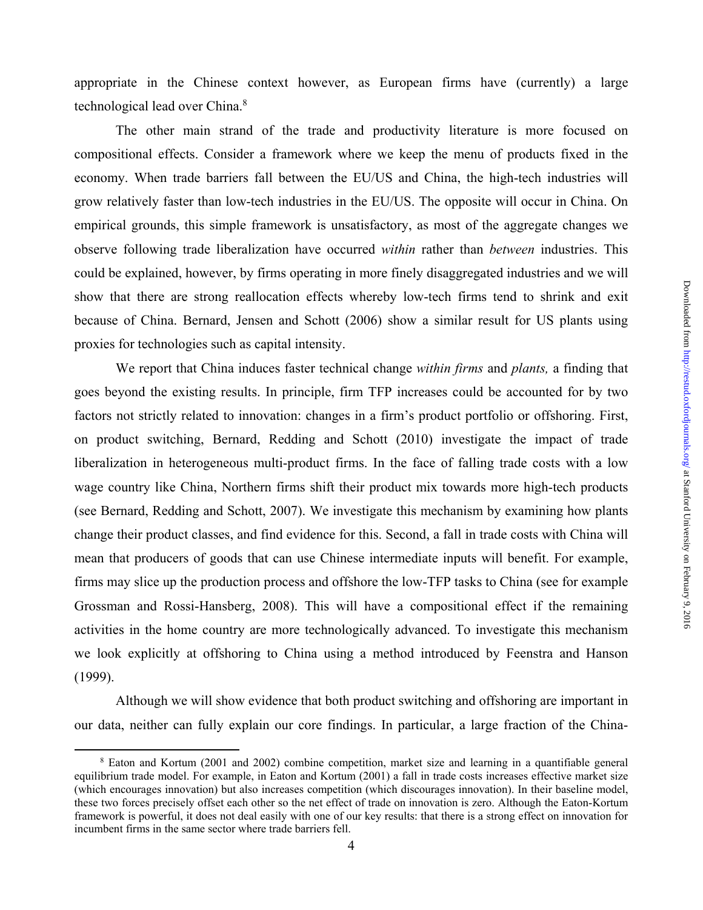appropriate in the Chinese context however, as European firms have (currently) a large technological lead over China.<sup>8</sup>

The other main strand of the trade and productivity literature is more focused on compositional effects. Consider a framework where we keep the menu of products fixed in the economy. When trade barriers fall between the EU/US and China, the high-tech industries will grow relatively faster than low-tech industries in the EU/US. The opposite will occur in China. On empirical grounds, this simple framework is unsatisfactory, as most of the aggregate changes we observe following trade liberalization have occurred *within* rather than *between* industries. This could be explained, however, by firms operating in more finely disaggregated industries and we will show that there are strong reallocation effects whereby low-tech firms tend to shrink and exit because of China. Bernard, Jensen and Schott (2006) show a similar result for US plants using proxies for technologies such as capital intensity.

We report that China induces faster technical change *within firms* and *plants,* a finding that goes beyond the existing results. In principle, firm TFP increases could be accounted for by two factors not strictly related to innovation: changes in a firm's product portfolio or offshoring. First, on product switching, Bernard, Redding and Schott (2010) investigate the impact of trade liberalization in heterogeneous multi-product firms. In the face of falling trade costs with a low wage country like China, Northern firms shift their product mix towards more high-tech products (see Bernard, Redding and Schott, 2007). We investigate this mechanism by examining how plants change their product classes, and find evidence for this. Second, a fall in trade costs with China will mean that producers of goods that can use Chinese intermediate inputs will benefit. For example, firms may slice up the production process and offshore the low-TFP tasks to China (see for example Grossman and Rossi-Hansberg, 2008). This will have a compositional effect if the remaining activities in the home country are more technologically advanced. To investigate this mechanism we look explicitly at offshoring to China using a method introduced by Feenstra and Hanson (1999).

Although we will show evidence that both product switching and offshoring are important in our data, neither can fully explain our core findings. In particular, a large fraction of the China-

 $\frac{1}{8}$  Eaton and Kortum (2001 and 2002) combine competition, market size and learning in a quantifiable general equilibrium trade model. For example, in Eaton and Kortum (2001) a fall in trade costs increases effective market size (which encourages innovation) but also increases competition (which discourages innovation). In their baseline model, these two forces precisely offset each other so the net effect of trade on innovation is zero. Although the Eaton-Kortum framework is powerful, it does not deal easily with one of our key results: that there is a strong effect on innovation for incumbent firms in the same sector where trade barriers fell.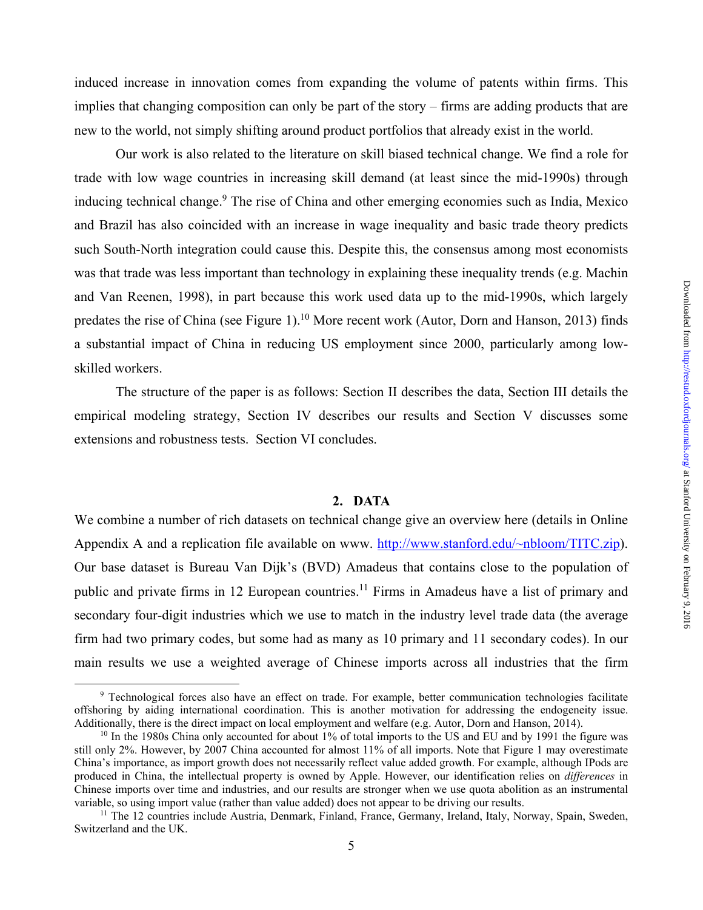induced increase in innovation comes from expanding the volume of patents within firms. This implies that changing composition can only be part of the story – firms are adding products that are new to the world, not simply shifting around product portfolios that already exist in the world.

Our work is also related to the literature on skill biased technical change. We find a role for trade with low wage countries in increasing skill demand (at least since the mid-1990s) through inducing technical change.<sup>9</sup> The rise of China and other emerging economies such as India, Mexico and Brazil has also coincided with an increase in wage inequality and basic trade theory predicts such South-North integration could cause this. Despite this, the consensus among most economists was that trade was less important than technology in explaining these inequality trends (e.g. Machin and Van Reenen, 1998), in part because this work used data up to the mid-1990s, which largely predates the rise of China (see Figure 1).<sup>10</sup> More recent work (Autor, Dorn and Hanson, 2013) finds a substantial impact of China in reducing US employment since 2000, particularly among lowskilled workers.

 The structure of the paper is as follows: Section II describes the data, Section III details the empirical modeling strategy, Section IV describes our results and Section V discusses some extensions and robustness tests. Section VI concludes.

#### **2. DATA**

We combine a number of rich datasets on technical change give an overview here (details in Online Appendix A and a replication file available on www. http://www.stanford.edu/~nbloom/TITC.zip). Our base dataset is Bureau Van Dijk's (BVD) Amadeus that contains close to the population of public and private firms in 12 European countries.<sup>11</sup> Firms in Amadeus have a list of primary and secondary four-digit industries which we use to match in the industry level trade data (the average firm had two primary codes, but some had as many as 10 primary and 11 secondary codes). In our main results we use a weighted average of Chinese imports across all industries that the firm

 <sup>9</sup> Technological forces also have an effect on trade. For example, better communication technologies facilitate offshoring by aiding international coordination. This is another motivation for addressing the endogeneity issue.<br>Additionally, there is the direct impact on local employment and welfare (e.g. Autor, Dorn and Hanson, 2014)

<sup>&</sup>lt;sup>10</sup> In the 1980s China only accounted for about 1% of total imports to the US and EU and by 1991 the figure was still only 2%. However, by 2007 China accounted for almost 11% of all imports. Note that Figure 1 may overestimate China's importance, as import growth does not necessarily reflect value added growth. For example, although IPods are produced in China, the intellectual property is owned by Apple. However, our identification relies on *differences* in Chinese imports over time and industries, and our results are stronger when we use quota abolition as an instrumental

<sup>&</sup>lt;sup>11</sup> The 12 countries include Austria, Denmark, Finland, France, Germany, Ireland, Italy, Norway, Spain, Sweden, Switzerland and the UK.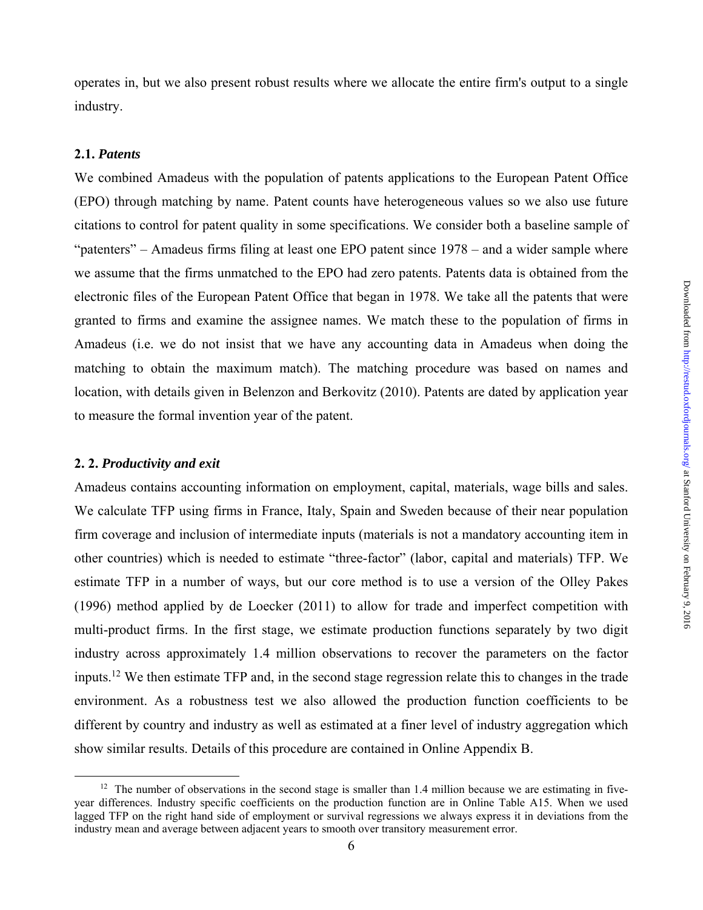operates in, but we also present robust results where we allocate the entire firm's output to a single industry.

## **2.1.** *Patents*

We combined Amadeus with the population of patents applications to the European Patent Office (EPO) through matching by name. Patent counts have heterogeneous values so we also use future citations to control for patent quality in some specifications. We consider both a baseline sample of "patenters" – Amadeus firms filing at least one EPO patent since 1978 – and a wider sample where we assume that the firms unmatched to the EPO had zero patents. Patents data is obtained from the electronic files of the European Patent Office that began in 1978. We take all the patents that were granted to firms and examine the assignee names. We match these to the population of firms in Amadeus (i.e. we do not insist that we have any accounting data in Amadeus when doing the matching to obtain the maximum match). The matching procedure was based on names and location, with details given in Belenzon and Berkovitz (2010). Patents are dated by application year to measure the formal invention year of the patent.

#### **2. 2.** *Productivity and exit*

Amadeus contains accounting information on employment, capital, materials, wage bills and sales. We calculate TFP using firms in France, Italy, Spain and Sweden because of their near population firm coverage and inclusion of intermediate inputs (materials is not a mandatory accounting item in other countries) which is needed to estimate "three-factor" (labor, capital and materials) TFP. We estimate TFP in a number of ways, but our core method is to use a version of the Olley Pakes (1996) method applied by de Loecker (2011) to allow for trade and imperfect competition with multi-product firms. In the first stage, we estimate production functions separately by two digit industry across approximately 1.4 million observations to recover the parameters on the factor inputs.12 We then estimate TFP and, in the second stage regression relate this to changes in the trade environment. As a robustness test we also allowed the production function coefficients to be different by country and industry as well as estimated at a finer level of industry aggregation which show similar results. Details of this procedure are contained in Online Appendix B.

 $12$  The number of observations in the second stage is smaller than 1.4 million because we are estimating in fiveyear differences. Industry specific coefficients on the production function are in Online Table A15. When we used lagged TFP on the right hand side of employment or survival regressions we always express it in deviations from the industry mean and average between adjacent years to smooth over transitory measurement error.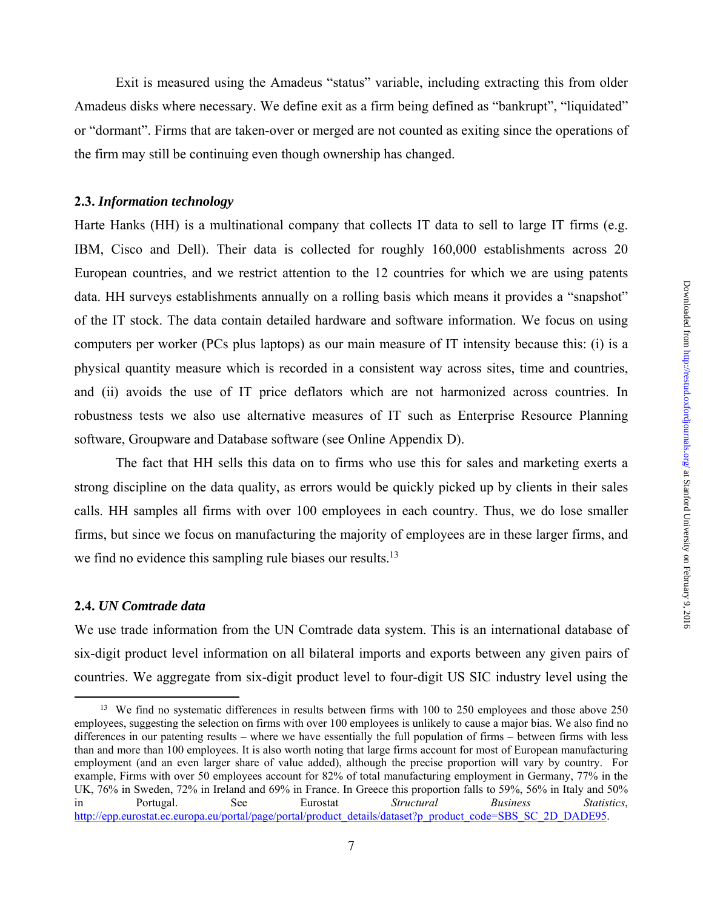Exit is measured using the Amadeus "status" variable, including extracting this from older Amadeus disks where necessary. We define exit as a firm being defined as "bankrupt", "liquidated" or "dormant". Firms that are taken-over or merged are not counted as exiting since the operations of the firm may still be continuing even though ownership has changed.

## **2.3.** *Information technology*

Harte Hanks (HH) is a multinational company that collects IT data to sell to large IT firms (e.g. IBM, Cisco and Dell). Their data is collected for roughly 160,000 establishments across 20 European countries, and we restrict attention to the 12 countries for which we are using patents data. HH surveys establishments annually on a rolling basis which means it provides a "snapshot" of the IT stock. The data contain detailed hardware and software information. We focus on using computers per worker (PCs plus laptops) as our main measure of IT intensity because this: (i) is a physical quantity measure which is recorded in a consistent way across sites, time and countries, and (ii) avoids the use of IT price deflators which are not harmonized across countries. In robustness tests we also use alternative measures of IT such as Enterprise Resource Planning software, Groupware and Database software (see Online Appendix D).

 The fact that HH sells this data on to firms who use this for sales and marketing exerts a strong discipline on the data quality, as errors would be quickly picked up by clients in their sales calls. HH samples all firms with over 100 employees in each country. Thus, we do lose smaller firms, but since we focus on manufacturing the majority of employees are in these larger firms, and we find no evidence this sampling rule biases our results.<sup>13</sup>

#### **2.4.** *UN Comtrade data*

We use trade information from the UN Comtrade data system. This is an international database of six-digit product level information on all bilateral imports and exports between any given pairs of countries. We aggregate from six-digit product level to four-digit US SIC industry level using the

<sup>&</sup>lt;sup>13</sup> We find no systematic differences in results between firms with 100 to 250 employees and those above 250 employees, suggesting the selection on firms with over 100 employees is unlikely to cause a major bias. We also find no differences in our patenting results – where we have essentially the full population of firms – between firms with less than and more than 100 employees. It is also worth noting that large firms account for most of European manufacturing employment (and an even larger share of value added), although the precise proportion will vary by country. For example, Firms with over 50 employees account for 82% of total manufacturing employment in Germany, 77% in the UK, 76% in Sweden, 72% in Ireland and 69% in France. In Greece this proportion falls to 59%, 56% in Italy and 50% in Portugal. See Eurostat *Structural Business Statistics*, http://epp.eurostat.ec.europa.eu/portal/page/portal/product\_details/dataset?p\_product\_code=SBS\_SC\_2D\_DADE95.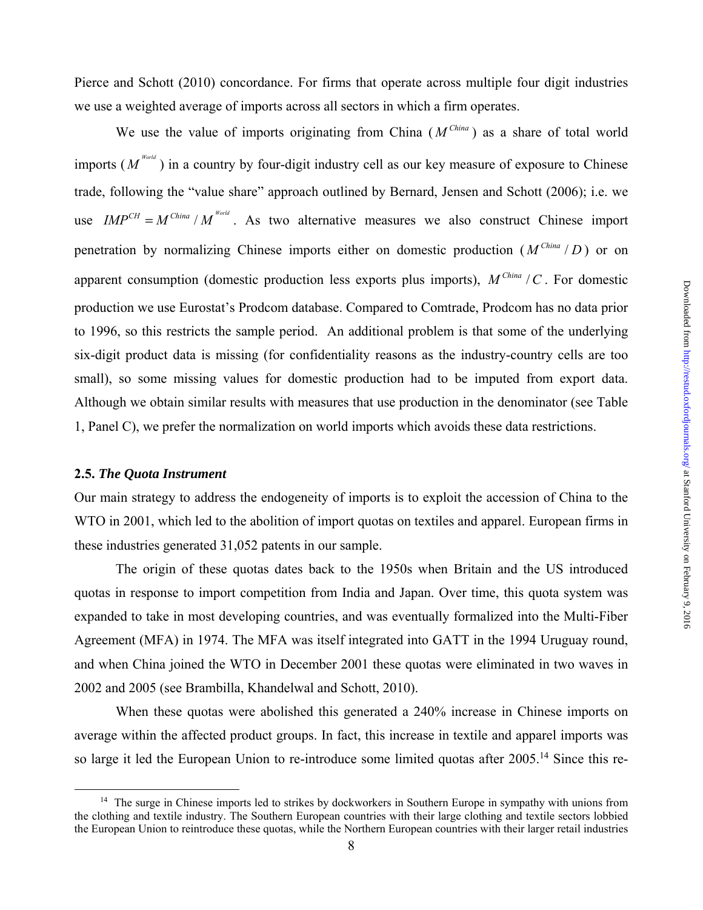Pierce and Schott (2010) concordance. For firms that operate across multiple four digit industries we use a weighted average of imports across all sectors in which a firm operates.

We use the value of imports originating from China  $(M^{China})$  as a share of total world imports ( $M^{(N_{\text{b}})}$ ) in a country by four-digit industry cell as our key measure of exposure to Chinese trade, following the "value share" approach outlined by Bernard, Jensen and Schott (2006); i.e. we use  $IMP^{CH} = M^{China} / M^{Word}$ . As two alternative measures we also construct Chinese import penetration by normalizing Chinese imports either on domestic production  $(M^{China}/D)$  or on apparent consumption (domestic production less exports plus imports),  $M^{China}/C$ . For domestic production we use Eurostat's Prodcom database. Compared to Comtrade, Prodcom has no data prior to 1996, so this restricts the sample period. An additional problem is that some of the underlying six-digit product data is missing (for confidentiality reasons as the industry-country cells are too small), so some missing values for domestic production had to be imputed from export data. Although we obtain similar results with measures that use production in the denominator (see Table 1, Panel C), we prefer the normalization on world imports which avoids these data restrictions.

## **2.5.** *The Quota Instrument*

Our main strategy to address the endogeneity of imports is to exploit the accession of China to the WTO in 2001, which led to the abolition of import quotas on textiles and apparel. European firms in these industries generated 31,052 patents in our sample.

The origin of these quotas dates back to the 1950s when Britain and the US introduced quotas in response to import competition from India and Japan. Over time, this quota system was expanded to take in most developing countries, and was eventually formalized into the Multi-Fiber Agreement (MFA) in 1974. The MFA was itself integrated into GATT in the 1994 Uruguay round, and when China joined the WTO in December 2001 these quotas were eliminated in two waves in 2002 and 2005 (see Brambilla, Khandelwal and Schott, 2010).

When these quotas were abolished this generated a 240% increase in Chinese imports on average within the affected product groups. In fact, this increase in textile and apparel imports was so large it led the European Union to re-introduce some limited quotas after 2005.<sup>14</sup> Since this re-

<sup>&</sup>lt;sup>14</sup> The surge in Chinese imports led to strikes by dockworkers in Southern Europe in sympathy with unions from the clothing and textile industry. The Southern European countries with their large clothing and textile sectors lobbied the European Union to reintroduce these quotas, while the Northern European countries with their larger retail industries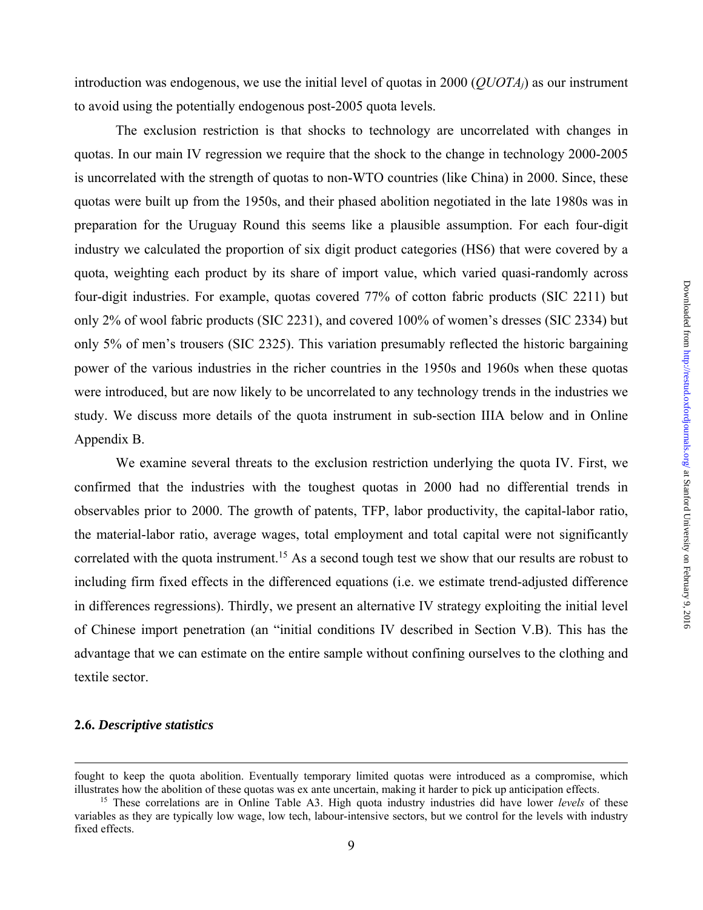introduction was endogenous, we use the initial level of quotas in 2000 (*QUOTAj*) as our instrument to avoid using the potentially endogenous post-2005 quota levels.

The exclusion restriction is that shocks to technology are uncorrelated with changes in quotas. In our main IV regression we require that the shock to the change in technology 2000-2005 is uncorrelated with the strength of quotas to non-WTO countries (like China) in 2000. Since, these quotas were built up from the 1950s, and their phased abolition negotiated in the late 1980s was in preparation for the Uruguay Round this seems like a plausible assumption. For each four-digit industry we calculated the proportion of six digit product categories (HS6) that were covered by a quota, weighting each product by its share of import value, which varied quasi-randomly across four-digit industries. For example, quotas covered 77% of cotton fabric products (SIC 2211) but only 2% of wool fabric products (SIC 2231), and covered 100% of women's dresses (SIC 2334) but only 5% of men's trousers (SIC 2325). This variation presumably reflected the historic bargaining power of the various industries in the richer countries in the 1950s and 1960s when these quotas were introduced, but are now likely to be uncorrelated to any technology trends in the industries we study. We discuss more details of the quota instrument in sub-section IIIA below and in Online Appendix B.

We examine several threats to the exclusion restriction underlying the quota IV. First, we confirmed that the industries with the toughest quotas in 2000 had no differential trends in observables prior to 2000. The growth of patents, TFP, labor productivity, the capital-labor ratio, the material-labor ratio, average wages, total employment and total capital were not significantly correlated with the quota instrument.<sup>15</sup> As a second tough test we show that our results are robust to including firm fixed effects in the differenced equations (i.e. we estimate trend-adjusted difference in differences regressions). Thirdly, we present an alternative IV strategy exploiting the initial level of Chinese import penetration (an "initial conditions IV described in Section V.B). This has the advantage that we can estimate on the entire sample without confining ourselves to the clothing and textile sector.

#### **2.6.** *Descriptive statistics*

1

fought to keep the quota abolition. Eventually temporary limited quotas were introduced as a compromise, which illustrates how the abolition of these quotas was ex ante uncertain, making it harder to pick up anticipation effects.<br><sup>15</sup> These correlations are in Online Table A3. High quota industry industries did have lower *levels*

variables as they are typically low wage, low tech, labour-intensive sectors, but we control for the levels with industry fixed effects.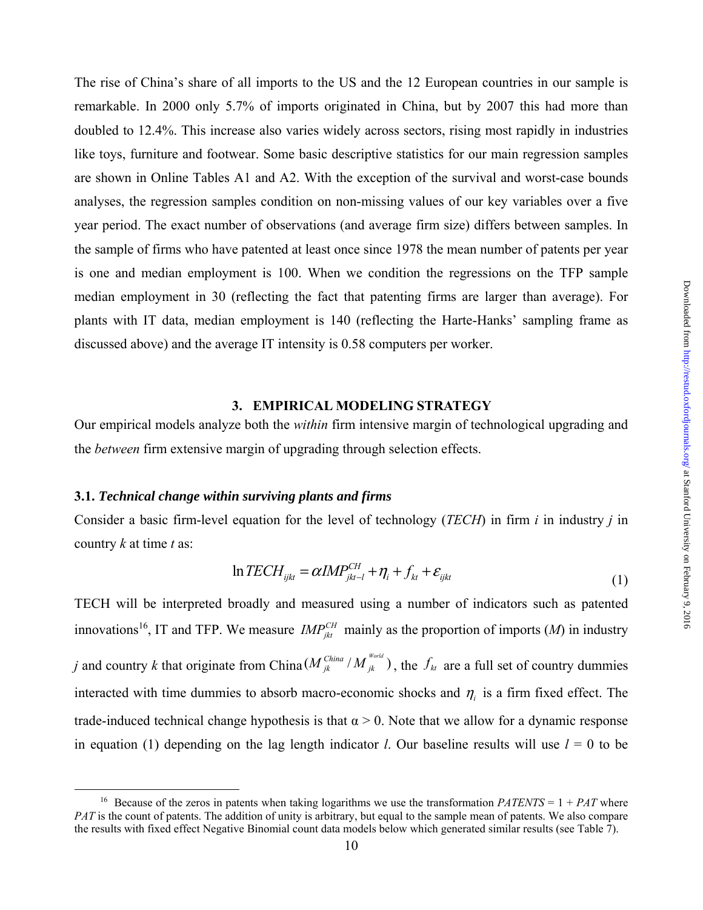The rise of China's share of all imports to the US and the 12 European countries in our sample is remarkable. In 2000 only 5.7% of imports originated in China, but by 2007 this had more than doubled to 12.4%. This increase also varies widely across sectors, rising most rapidly in industries like toys, furniture and footwear. Some basic descriptive statistics for our main regression samples are shown in Online Tables A1 and A2. With the exception of the survival and worst-case bounds analyses, the regression samples condition on non-missing values of our key variables over a five year period. The exact number of observations (and average firm size) differs between samples. In the sample of firms who have patented at least once since 1978 the mean number of patents per year is one and median employment is 100. When we condition the regressions on the TFP sample median employment in 30 (reflecting the fact that patenting firms are larger than average). For plants with IT data, median employment is 140 (reflecting the Harte-Hanks' sampling frame as discussed above) and the average IT intensity is 0.58 computers per worker.

## **3. EMPIRICAL MODELING STRATEGY**

Our empirical models analyze both the *within* firm intensive margin of technological upgrading and the *between* firm extensive margin of upgrading through selection effects.

#### **3.1.** *Technical change within surviving plants and firms*

Consider a basic firm-level equation for the level of technology (*TECH*) in firm *i* in industry *j* in country *k* at time *t* as:

$$
\ln TECH_{ijkt} = \alpha IMP_{jkt-l}^{CH} + \eta_i + f_{kt} + \varepsilon_{ijkt}
$$
\n(1)

TECH will be interpreted broadly and measured using a number of indicators such as patented innovations<sup>16</sup>, IT and TFP. We measure  $IMP_{jkt}^{CH}$  mainly as the proportion of imports (*M*) in industry

*j* and country *k* that originate from China  $(M_{jk}^{China}/M_{jk}^{Word})$  $M_{jk}^{China}/M_{jk}^{word}$ ), the  $f_{kt}$  are a full set of country dummies interacted with time dummies to absorb macro-economic shocks and  $\eta_i$  is a firm fixed effect. The trade-induced technical change hypothesis is that  $\alpha > 0$ . Note that we allow for a dynamic response in equation (1) depending on the lag length indicator *l*. Our baseline results will use  $l = 0$  to be

<sup>&</sup>lt;sup>16</sup> Because of the zeros in patents when taking logarithms we use the transformation  $PATENTS = 1 + PAT$  where *PAT* is the count of patents. The addition of unity is arbitrary, but equal to the sample mean of patents. We also compare the results with fixed effect Negative Binomial count data models below which generated similar results (see Table 7).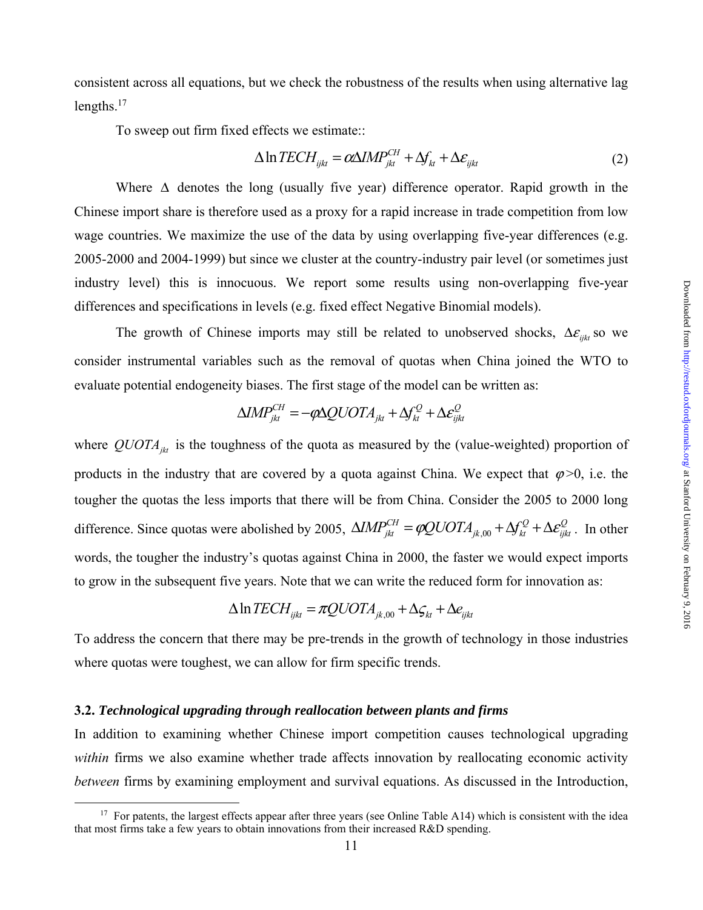consistent across all equations, but we check the robustness of the results when using alternative lag lengths. $17$ 

To sweep out firm fixed effects we estimate::

$$
\Delta \ln TECH_{ijkt} = \alpha \Delta IMP_{jkt}^{CH} + \Delta f_{kt} + \Delta \varepsilon_{ijkt}
$$
\n(2)

Where  $\Delta$  denotes the long (usually five year) difference operator. Rapid growth in the Chinese import share is therefore used as a proxy for a rapid increase in trade competition from low wage countries. We maximize the use of the data by using overlapping five-year differences (e.g. 2005-2000 and 2004-1999) but since we cluster at the country-industry pair level (or sometimes just industry level) this is innocuous. We report some results using non-overlapping five-year differences and specifications in levels (e.g. fixed effect Negative Binomial models).

The growth of Chinese imports may still be related to unobserved shocks,  $\Delta \varepsilon_{ijk}$  so we consider instrumental variables such as the removal of quotas when China joined the WTO to evaluate potential endogeneity biases. The first stage of the model can be written as:

$$
\Delta IMP_{jkt}^{CH}=-\varphi \Delta QUOTA_{jkt}+\Delta f^Q_{kt}+\Delta \varepsilon^Q_{ijkt}
$$

where  $QUOTA_{jkt}$  is the toughness of the quota as measured by the (value-weighted) proportion of products in the industry that are covered by a quota against China. We expect that  $\varphi > 0$ , i.e. the tougher the quotas the less imports that there will be from China. Consider the 2005 to 2000 long difference. Since quotas were abolished by 2005,  $\Delta IMP_{jkt}^{CH} = \phi QUOTA_{jk,00} + \Delta f_{kt}^Q + \Delta \varepsilon_{jkt}^Q$ . In other words, the tougher the industry's quotas against China in 2000, the faster we would expect imports to grow in the subsequent five years. Note that we can write the reduced form for innovation as:

$$
\Delta \ln TECH_{ijk} = \pi QUOTA_{jk,00} + \Delta \varsigma_{kt} + \Delta e_{ijk}
$$

To address the concern that there may be pre-trends in the growth of technology in those industries where quotas were toughest, we can allow for firm specific trends.

#### **3.2.** *Technological upgrading through reallocation between plants and firms*

In addition to examining whether Chinese import competition causes technological upgrading *within* firms we also examine whether trade affects innovation by reallocating economic activity *between* firms by examining employment and survival equations. As discussed in the Introduction,

<sup>&</sup>lt;sup>17</sup> For patents, the largest effects appear after three years (see Online Table A14) which is consistent with the idea that most firms take a few years to obtain innovations from their increased R&D spending.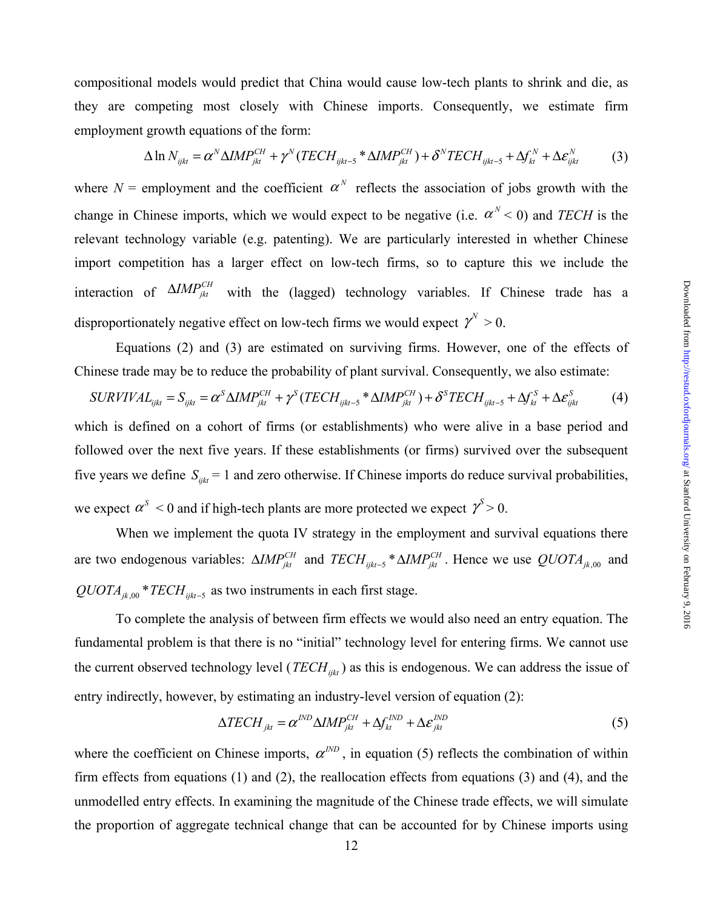compositional models would predict that China would cause low-tech plants to shrink and die, as they are competing most closely with Chinese imports. Consequently, we estimate firm employment growth equations of the form:

$$
\Delta \ln N_{ijk} = \alpha^N \Delta I M P_{jkt}^{CH} + \gamma^N (TECH_{ijkt-5} * \Delta I M P_{jkt}^{CH}) + \delta^N T ECH_{ijkt-5} + \Delta f_{kt}^N + \Delta \varepsilon_{ijkt}^N \tag{3}
$$

where  $N =$  employment and the coefficient  $\alpha^N$  reflects the association of jobs growth with the change in Chinese imports, which we would expect to be negative (i.e.  $\alpha^N$  < 0) and *TECH* is the relevant technology variable (e.g. patenting). We are particularly interested in whether Chinese import competition has a larger effect on low-tech firms, so to capture this we include the interaction of  $\Delta I M P_{jkt}^{CH}$  with the (lagged) technology variables. If Chinese trade has a disproportionately negative effect on low-tech firms we would expect  $\gamma^N > 0$ .

 Equations (2) and (3) are estimated on surviving firms. However, one of the effects of Chinese trade may be to reduce the probability of plant survival. Consequently, we also estimate:

$$
SURVIVAL_{ijkt} = S_{ijkt} = \alpha^S \Delta IMP_{jkt}^{CH} + \gamma^S (TECH_{ijkt-5} * \Delta IMP_{jkt}^{CH}) + \delta^S TECH_{ijkt-5} + \Delta f_{kt}^S + \Delta \varepsilon_{ijkt}^S
$$
(4)

which is defined on a cohort of firms (or establishments) who were alive in a base period and followed over the next five years. If these establishments (or firms) survived over the subsequent five years we define  $S_{iik} = 1$  and zero otherwise. If Chinese imports do reduce survival probabilities, we expect  $\alpha^{s}$  < 0 and if high-tech plants are more protected we expect  $\gamma^{s}$  > 0.

When we implement the quota IV strategy in the employment and survival equations there are two endogenous variables:  $\Delta M P_{jkt}^{CH}$  and  $TECH_{jkt-5} * \Delta M P_{jkt}^{CH}$ . Hence we use  $QUOTA_{jk,00}$  and  $QUOTA_{jk,00}$  \* *TECH*  $_{ijkt-5}$  as two instruments in each first stage.

 To complete the analysis of between firm effects we would also need an entry equation. The fundamental problem is that there is no "initial" technology level for entering firms. We cannot use the current observed technology level (*TECH<sub>ijkt</sub>*) as this is endogenous. We can address the issue of entry indirectly, however, by estimating an industry-level version of equation (2):

$$
\Delta TECH_{jkt} = \alpha^{IND} \Delta IMP_{jkt}^{CH} + \Delta f_{kt}^{IND} + \Delta \varepsilon_{jkt}^{IND}
$$
\n(5)

where the coefficient on Chinese imports,  $\alpha^{IND}$ , in equation (5) reflects the combination of within firm effects from equations (1) and (2), the reallocation effects from equations (3) and (4), and the unmodelled entry effects. In examining the magnitude of the Chinese trade effects, we will simulate the proportion of aggregate technical change that can be accounted for by Chinese imports using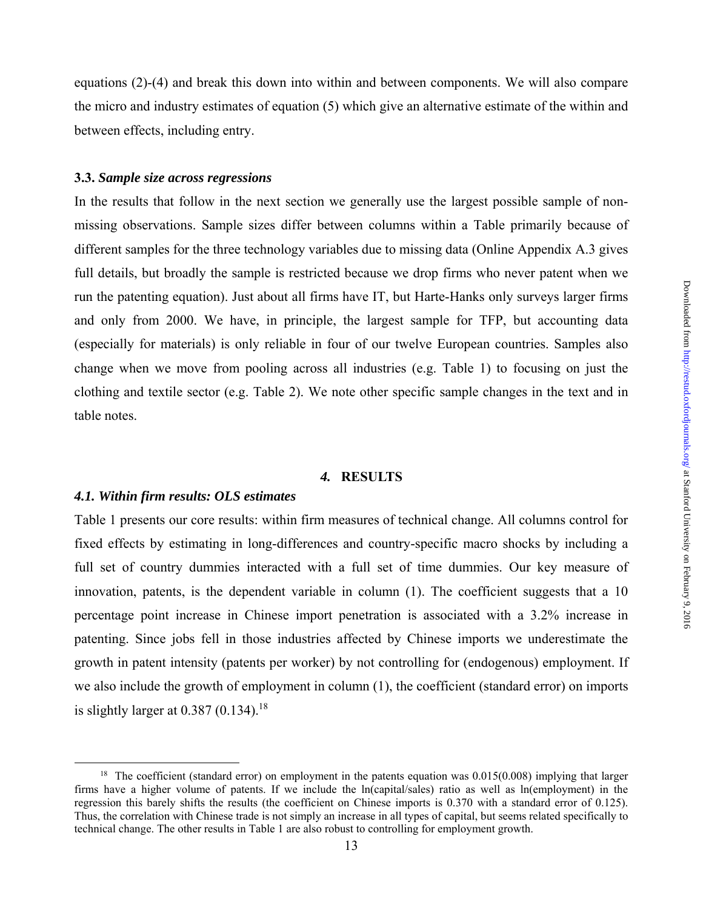equations (2)-(4) and break this down into within and between components. We will also compare the micro and industry estimates of equation (5) which give an alternative estimate of the within and between effects, including entry.

#### **3.3.** *Sample size across regressions*

In the results that follow in the next section we generally use the largest possible sample of nonmissing observations. Sample sizes differ between columns within a Table primarily because of different samples for the three technology variables due to missing data (Online Appendix A.3 gives full details, but broadly the sample is restricted because we drop firms who never patent when we run the patenting equation). Just about all firms have IT, but Harte-Hanks only surveys larger firms and only from 2000. We have, in principle, the largest sample for TFP, but accounting data (especially for materials) is only reliable in four of our twelve European countries. Samples also change when we move from pooling across all industries (e.g. Table 1) to focusing on just the clothing and textile sector (e.g. Table 2). We note other specific sample changes in the text and in table notes.

#### *4.* **RESULTS**

#### *4.1. Within firm results: OLS estimates*

Table 1 presents our core results: within firm measures of technical change. All columns control for fixed effects by estimating in long-differences and country-specific macro shocks by including a full set of country dummies interacted with a full set of time dummies. Our key measure of innovation, patents, is the dependent variable in column (1). The coefficient suggests that a 10 percentage point increase in Chinese import penetration is associated with a 3.2% increase in patenting. Since jobs fell in those industries affected by Chinese imports we underestimate the growth in patent intensity (patents per worker) by not controlling for (endogenous) employment. If we also include the growth of employment in column (1), the coefficient (standard error) on imports is slightly larger at  $0.387$   $(0.134)$ <sup>18</sup>

<sup>&</sup>lt;sup>18</sup> The coefficient (standard error) on employment in the patents equation was 0.015(0.008) implying that larger firms have a higher volume of patents. If we include the ln(capital/sales) ratio as well as ln(employment) in the regression this barely shifts the results (the coefficient on Chinese imports is 0.370 with a standard error of 0.125). Thus, the correlation with Chinese trade is not simply an increase in all types of capital, but seems related specifically to technical change. The other results in Table 1 are also robust to controlling for employment growth.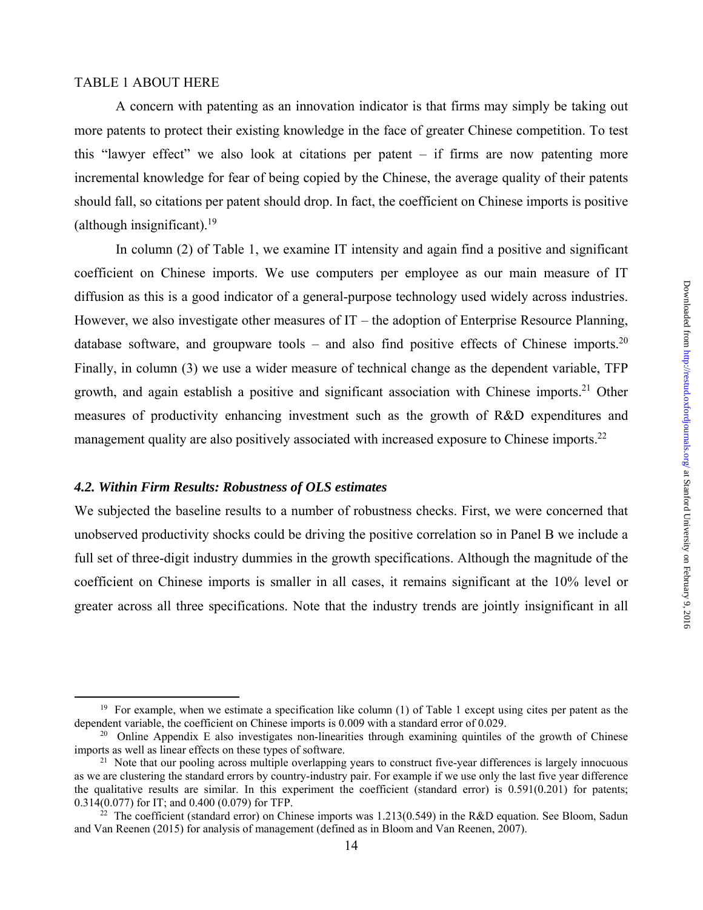#### TABLE 1 ABOUT HERE

A concern with patenting as an innovation indicator is that firms may simply be taking out more patents to protect their existing knowledge in the face of greater Chinese competition. To test this "lawyer effect" we also look at citations per patent – if firms are now patenting more incremental knowledge for fear of being copied by the Chinese, the average quality of their patents should fall, so citations per patent should drop. In fact, the coefficient on Chinese imports is positive (although insignificant).<sup>19</sup>

 In column (2) of Table 1, we examine IT intensity and again find a positive and significant coefficient on Chinese imports. We use computers per employee as our main measure of IT diffusion as this is a good indicator of a general-purpose technology used widely across industries. However, we also investigate other measures of IT – the adoption of Enterprise Resource Planning, database software, and groupware tools – and also find positive effects of Chinese imports.<sup>20</sup> Finally, in column (3) we use a wider measure of technical change as the dependent variable, TFP growth, and again establish a positive and significant association with Chinese imports.<sup>21</sup> Other measures of productivity enhancing investment such as the growth of R&D expenditures and management quality are also positively associated with increased exposure to Chinese imports.<sup>22</sup>

## *4.2. Within Firm Results: Robustness of OLS estimates*

We subjected the baseline results to a number of robustness checks. First, we were concerned that unobserved productivity shocks could be driving the positive correlation so in Panel B we include a full set of three-digit industry dummies in the growth specifications. Although the magnitude of the coefficient on Chinese imports is smaller in all cases, it remains significant at the 10% level or greater across all three specifications. Note that the industry trends are jointly insignificant in all

<sup>&</sup>lt;sup>19</sup> For example, when we estimate a specification like column (1) of Table 1 except using cites per patent as the dependent variable, the coefficient on Chinese imports is 0.009 with a standard error of 0.029.

<sup>&</sup>lt;sup>20</sup> Online Appendix E also investigates non-linearities through examining quintiles of the growth of Chinese imports as well as linear effects on these types of software.

<sup>&</sup>lt;sup>21</sup> Note that our pooling across multiple overlapping years to construct five-year differences is largely innocuous as we are clustering the standard errors by country-industry pair. For example if we use only the last five year difference the qualitative results are similar. In this experiment the coefficient (standard error) is  $0.591(0.201)$  for patents;  $0.314(0.077)$  for IT; and  $0.400(0.079)$  for TFP.

<sup>&</sup>lt;sup>22</sup> The coefficient (standard error) on Chinese imports was 1.213(0.549) in the R&D equation. See Bloom, Sadun and Van Reenen (2015) for analysis of management (defined as in Bloom and Van Reenen, 2007).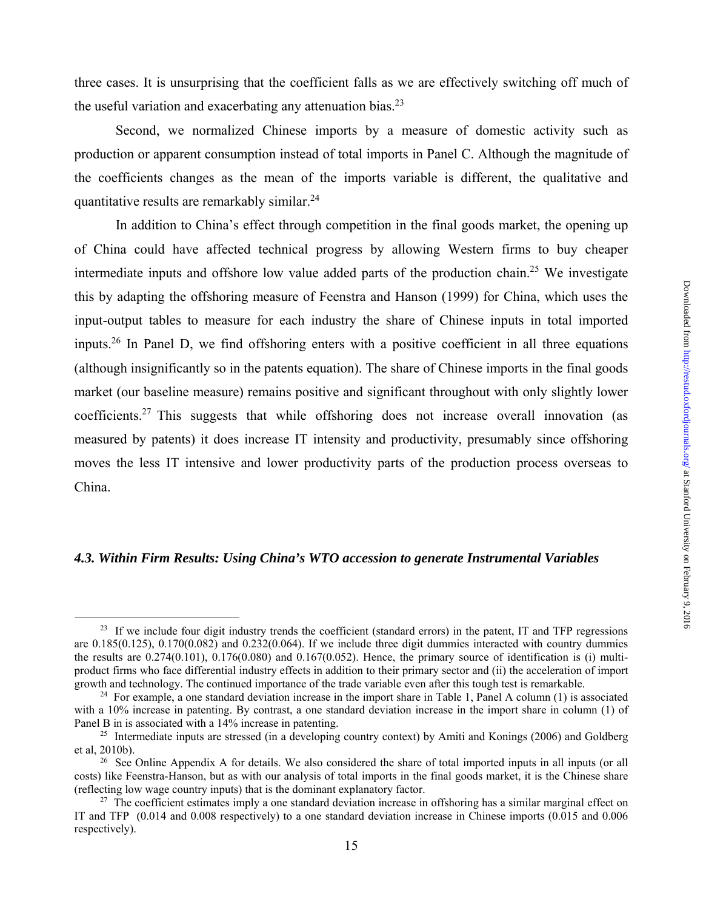three cases. It is unsurprising that the coefficient falls as we are effectively switching off much of the useful variation and exacerbating any attenuation bias. $^{23}$ 

 Second, we normalized Chinese imports by a measure of domestic activity such as production or apparent consumption instead of total imports in Panel C. Although the magnitude of the coefficients changes as the mean of the imports variable is different, the qualitative and quantitative results are remarkably similar.24

In addition to China's effect through competition in the final goods market, the opening up of China could have affected technical progress by allowing Western firms to buy cheaper intermediate inputs and offshore low value added parts of the production chain.<sup>25</sup> We investigate this by adapting the offshoring measure of Feenstra and Hanson (1999) for China, which uses the input-output tables to measure for each industry the share of Chinese inputs in total imported inputs.<sup>26</sup> In Panel D, we find offshoring enters with a positive coefficient in all three equations (although insignificantly so in the patents equation). The share of Chinese imports in the final goods market (our baseline measure) remains positive and significant throughout with only slightly lower coefficients.27 This suggests that while offshoring does not increase overall innovation (as measured by patents) it does increase IT intensity and productivity, presumably since offshoring moves the less IT intensive and lower productivity parts of the production process overseas to China.

## *4.3. Within Firm Results: Using China's WTO accession to generate Instrumental Variables*

 $^{23}$  If we include four digit industry trends the coefficient (standard errors) in the patent, IT and TFP regressions are 0.185(0.125), 0.170(0.082) and 0.232(0.064). If we include three digit dummies interacted with country dummies the results are  $0.274(0.101)$ ,  $0.176(0.080)$  and  $0.167(0.052)$ . Hence, the primary source of identification is (i) multiproduct firms who face differential industry effects in addition to their primary sector and (ii) the acceleration of import growth and technology. The continued importance of the trade variable even after this tough test

<sup>&</sup>lt;sup>24</sup> For example, a one standard deviation increase in the import share in Table 1, Panel A column (1) is associated with a 10% increase in patenting. By contrast, a one standard deviation increase in the import share in column (1) of Panel B in is associated with a 14% increase in patenting.<br><sup>25</sup> Intermediate inputs are stressed (in a developing country context) by Amiti and Konings (2006) and Goldberg

et al, 2010b).<br><sup>26</sup> See Online Appendix A for details. We also considered the share of total imported inputs in all inputs (or all

costs) like Feenstra-Hanson, but as with our analysis of total imports in the final goods market, it is the Chinese share (reflecting low wage country inputs) that is the dominant explanatory factor.<br><sup>27</sup> The coefficient estimates imply a one standard deviation increase in offshoring has a similar marginal effect on

IT and TFP (0.014 and 0.008 respectively) to a one standard deviation increase in Chinese imports (0.015 and 0.006 respectively).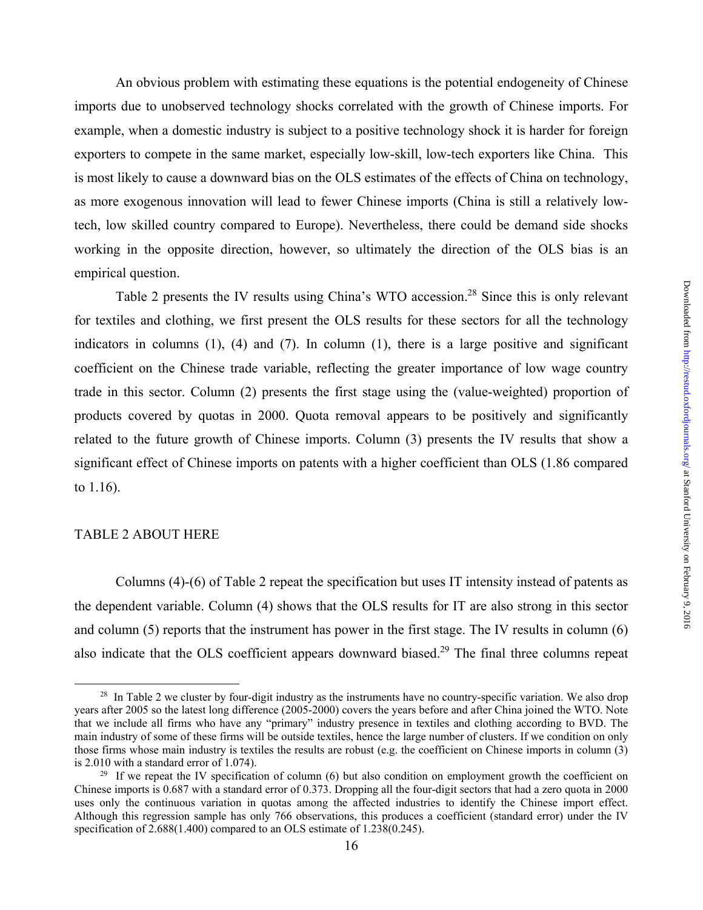An obvious problem with estimating these equations is the potential endogeneity of Chinese imports due to unobserved technology shocks correlated with the growth of Chinese imports. For example, when a domestic industry is subject to a positive technology shock it is harder for foreign exporters to compete in the same market, especially low-skill, low-tech exporters like China. This is most likely to cause a downward bias on the OLS estimates of the effects of China on technology, as more exogenous innovation will lead to fewer Chinese imports (China is still a relatively lowtech, low skilled country compared to Europe). Nevertheless, there could be demand side shocks working in the opposite direction, however, so ultimately the direction of the OLS bias is an empirical question.

Table 2 presents the IV results using China's WTO accession.<sup>28</sup> Since this is only relevant for textiles and clothing, we first present the OLS results for these sectors for all the technology indicators in columns  $(1)$ ,  $(4)$  and  $(7)$ . In column  $(1)$ , there is a large positive and significant coefficient on the Chinese trade variable, reflecting the greater importance of low wage country trade in this sector. Column (2) presents the first stage using the (value-weighted) proportion of products covered by quotas in 2000. Quota removal appears to be positively and significantly related to the future growth of Chinese imports. Column (3) presents the IV results that show a significant effect of Chinese imports on patents with a higher coefficient than OLS (1.86 compared to 1.16).

#### TABLE 2 ABOUT HERE

 Columns (4)-(6) of Table 2 repeat the specification but uses IT intensity instead of patents as the dependent variable. Column (4) shows that the OLS results for IT are also strong in this sector and column (5) reports that the instrument has power in the first stage. The IV results in column (6) also indicate that the OLS coefficient appears downward biased.<sup>29</sup> The final three columns repeat

<sup>&</sup>lt;sup>28</sup> In Table 2 we cluster by four-digit industry as the instruments have no country-specific variation. We also drop years after 2005 so the latest long difference (2005-2000) covers the years before and after China joined the WTO. Note that we include all firms who have any "primary" industry presence in textiles and clothing according to BVD. The main industry of some of these firms will be outside textiles, hence the large number of clusters. If we condition on only those firms whose main industry is textiles the results are robust (e.g. the coefficient on Chinese imports in column  $(3)$ ) is 2.010 with a standard error of 1.074).<br><sup>29</sup> If we repeat the IV specification of column (6) but also condition on employment growth the coefficient on

Chinese imports is 0.687 with a standard error of 0.373. Dropping all the four-digit sectors that had a zero quota in 2000 uses only the continuous variation in quotas among the affected industries to identify the Chinese import effect. Although this regression sample has only 766 observations, this produces a coefficient (standard error) under the IV specification of 2.688(1.400) compared to an OLS estimate of 1.238(0.245).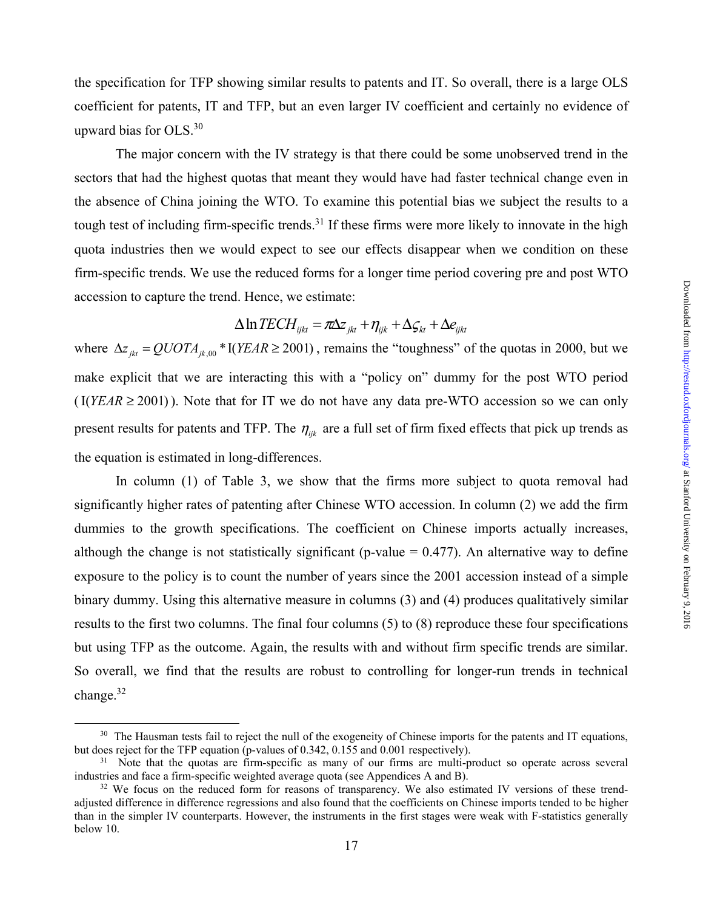the specification for TFP showing similar results to patents and IT. So overall, there is a large OLS coefficient for patents, IT and TFP, but an even larger IV coefficient and certainly no evidence of upward bias for OLS.30

 The major concern with the IV strategy is that there could be some unobserved trend in the sectors that had the highest quotas that meant they would have had faster technical change even in the absence of China joining the WTO. To examine this potential bias we subject the results to a tough test of including firm-specific trends.<sup>31</sup> If these firms were more likely to innovate in the high quota industries then we would expect to see our effects disappear when we condition on these firm-specific trends. We use the reduced forms for a longer time period covering pre and post WTO accession to capture the trend. Hence, we estimate:

# $\Delta \ln \text{TECH}_{iikt} = \pi \Delta z_{ikt} + \eta_{ijk} + \Delta \zeta_{kt} + \Delta e_{ijkt}$

where  $\Delta z_{jkt} = QUOTA_{jk,00} * I(YEAR \ge 2001)$ , remains the "toughness" of the quotas in 2000, but we make explicit that we are interacting this with a "policy on" dummy for the post WTO period  $($ I( $YEAR \ge 2001)$ ). Note that for IT we do not have any data pre-WTO accession so we can only present results for patents and TFP. The  $\eta_{ijk}$  are a full set of firm fixed effects that pick up trends as the equation is estimated in long-differences.

In column (1) of Table 3, we show that the firms more subject to quota removal had significantly higher rates of patenting after Chinese WTO accession. In column (2) we add the firm dummies to the growth specifications. The coefficient on Chinese imports actually increases, although the change is not statistically significant (p-value  $= 0.477$ ). An alternative way to define exposure to the policy is to count the number of years since the 2001 accession instead of a simple binary dummy. Using this alternative measure in columns (3) and (4) produces qualitatively similar results to the first two columns. The final four columns (5) to (8) reproduce these four specifications but using TFP as the outcome. Again, the results with and without firm specific trends are similar. So overall, we find that the results are robust to controlling for longer-run trends in technical change.<sup>32</sup>

 $30$  The Hausman tests fail to reject the null of the exogeneity of Chinese imports for the patents and IT equations, but does reject for the TFP equation (p-values of 0.342, 0.155 and 0.001 respectively).

 $31$  Note that the quotas are firm-specific as many of our firms are multi-product so operate across several industries and face a firm-specific weighted average quota (see Appendices A and B).<br><sup>32</sup> We focus on the reduced form for reasons of transparency. We also estimated IV versions of these trend-

adjusted difference in difference regressions and also found that the coefficients on Chinese imports tended to be higher than in the simpler IV counterparts. However, the instruments in the first stages were weak with F-statistics generally below 10.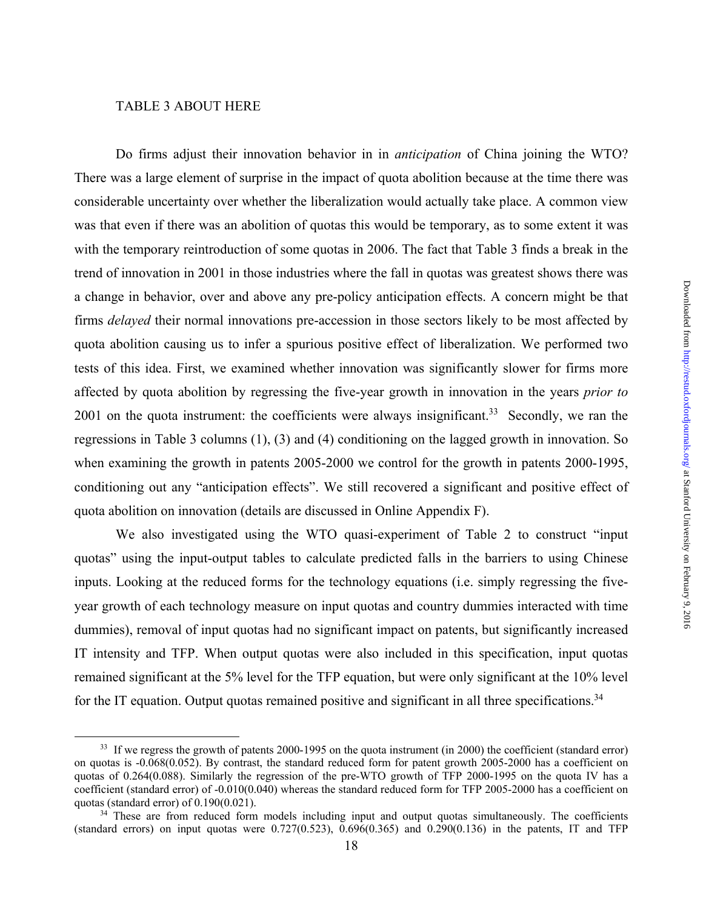#### TABLE 3 ABOUT HERE

Do firms adjust their innovation behavior in in *anticipation* of China joining the WTO? There was a large element of surprise in the impact of quota abolition because at the time there was considerable uncertainty over whether the liberalization would actually take place. A common view was that even if there was an abolition of quotas this would be temporary, as to some extent it was with the temporary reintroduction of some quotas in 2006. The fact that Table 3 finds a break in the trend of innovation in 2001 in those industries where the fall in quotas was greatest shows there was a change in behavior, over and above any pre-policy anticipation effects. A concern might be that firms *delayed* their normal innovations pre-accession in those sectors likely to be most affected by quota abolition causing us to infer a spurious positive effect of liberalization. We performed two tests of this idea. First, we examined whether innovation was significantly slower for firms more affected by quota abolition by regressing the five-year growth in innovation in the years *prior to* 2001 on the quota instrument: the coefficients were always insignificant.<sup>33</sup> Secondly, we ran the regressions in Table 3 columns (1), (3) and (4) conditioning on the lagged growth in innovation. So when examining the growth in patents 2005-2000 we control for the growth in patents 2000-1995, conditioning out any "anticipation effects". We still recovered a significant and positive effect of quota abolition on innovation (details are discussed in Online Appendix F).

We also investigated using the WTO quasi-experiment of Table 2 to construct "input quotas" using the input-output tables to calculate predicted falls in the barriers to using Chinese inputs. Looking at the reduced forms for the technology equations (i.e. simply regressing the fiveyear growth of each technology measure on input quotas and country dummies interacted with time dummies), removal of input quotas had no significant impact on patents, but significantly increased IT intensity and TFP. When output quotas were also included in this specification, input quotas remained significant at the 5% level for the TFP equation, but were only significant at the 10% level for the IT equation. Output quotas remained positive and significant in all three specifications.<sup>34</sup>

<sup>&</sup>lt;sup>33</sup> If we regress the growth of patents 2000-1995 on the quota instrument (in 2000) the coefficient (standard error) on quotas is -0.068(0.052). By contrast, the standard reduced form for patent growth 2005-2000 has a coefficient on quotas of 0.264(0.088). Similarly the regression of the pre-WTO growth of TFP 2000-1995 on the quota IV has a coefficient (standard error) of  $-0.010(0.040)$  whereas the standard reduced form for TFP 2005-2000 has a coefficient on quotas (standard error) of  $0.190(0.021)$ .

 $34$  These are from reduced form models including input and output quotas simultaneously. The coefficients (standard errors) on input quotas were  $0.727(0.523)$ ,  $0.696(0.365)$  and  $0.290(0.136)$  in the patents, IT and TFP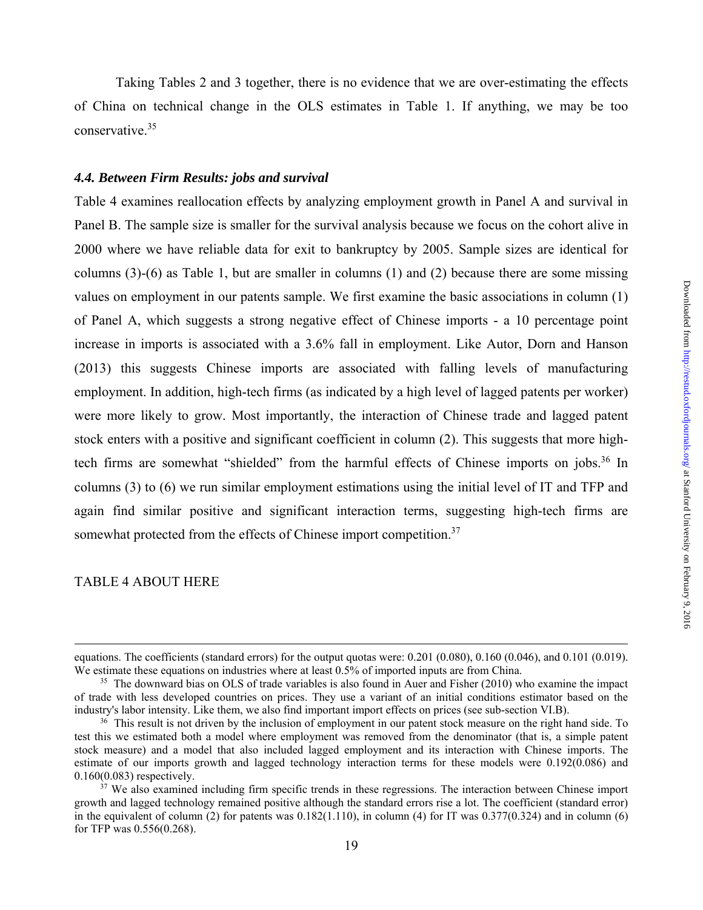Taking Tables 2 and 3 together, there is no evidence that we are over-estimating the effects of China on technical change in the OLS estimates in Table 1. If anything, we may be too conservative.35

#### *4.4. Between Firm Results: jobs and survival*

Table 4 examines reallocation effects by analyzing employment growth in Panel A and survival in Panel B. The sample size is smaller for the survival analysis because we focus on the cohort alive in 2000 where we have reliable data for exit to bankruptcy by 2005. Sample sizes are identical for columns (3)-(6) as Table 1, but are smaller in columns (1) and (2) because there are some missing values on employment in our patents sample. We first examine the basic associations in column (1) of Panel A, which suggests a strong negative effect of Chinese imports - a 10 percentage point increase in imports is associated with a 3.6% fall in employment. Like Autor, Dorn and Hanson (2013) this suggests Chinese imports are associated with falling levels of manufacturing employment. In addition, high-tech firms (as indicated by a high level of lagged patents per worker) were more likely to grow. Most importantly, the interaction of Chinese trade and lagged patent stock enters with a positive and significant coefficient in column (2). This suggests that more hightech firms are somewhat "shielded" from the harmful effects of Chinese imports on jobs.<sup>36</sup> In columns (3) to (6) we run similar employment estimations using the initial level of IT and TFP and again find similar positive and significant interaction terms, suggesting high-tech firms are somewhat protected from the effects of Chinese import competition.<sup>37</sup>

#### TABLE 4 ABOUT HERE

1

equations. The coefficients (standard errors) for the output quotas were: 0.201 (0.080), 0.160 (0.046), and 0.101 (0.019). We estimate these equations on industries where at least 0.5% of imported inputs are from China.<br><sup>35</sup> The downward bias on OLS of trade variables is also found in Auer and Fisher (2010) who examine the impact

of trade with less developed countries on prices. They use a variant of an initial conditions estimator based on the industry's labor intensity. Like them, we also find important import effects on prices (see sub-section VI.B).<br><sup>36</sup> This result is not driven by the inclusion of employment in our patent stock measure on the right hand sid

test this we estimated both a model where employment was removed from the denominator (that is, a simple patent stock measure) and a model that also included lagged employment and its interaction with Chinese imports. The estimate of our imports growth and lagged technology interaction terms for these models were 0.192(0.086) and 0.160(0.083) respectively.<br><sup>37</sup> We also examined including firm specific trends in these regressions. The interaction between Chinese import

growth and lagged technology remained positive although the standard errors rise a lot. The coefficient (standard error) in the equivalent of column (2) for patents was  $0.182(1.110)$ , in column (4) for IT was  $0.377(0.324)$  and in column (6) for TFP was 0.556(0.268).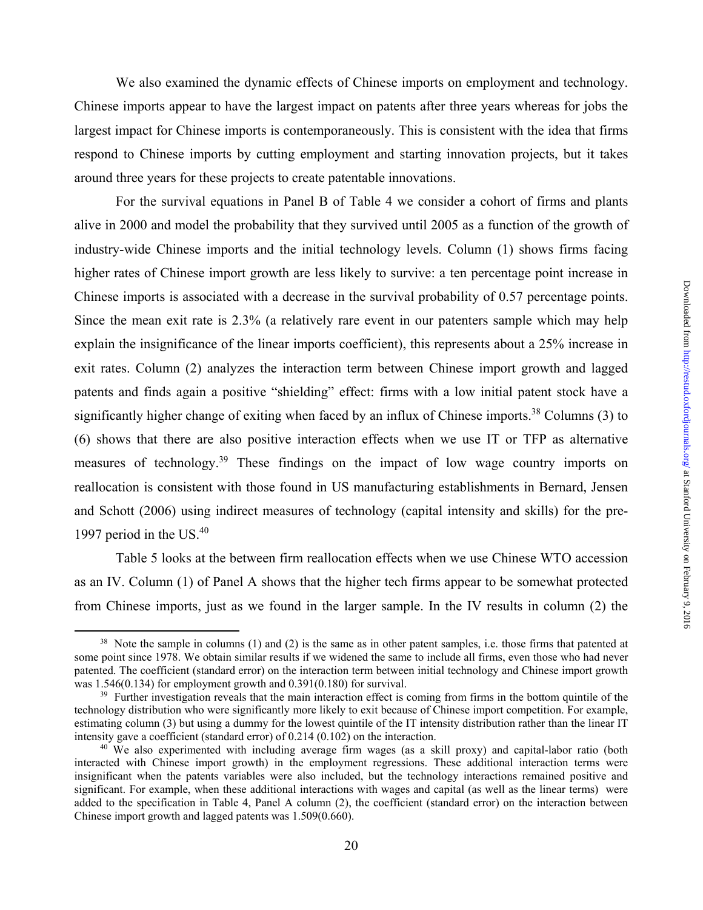We also examined the dynamic effects of Chinese imports on employment and technology. Chinese imports appear to have the largest impact on patents after three years whereas for jobs the largest impact for Chinese imports is contemporaneously. This is consistent with the idea that firms respond to Chinese imports by cutting employment and starting innovation projects, but it takes around three years for these projects to create patentable innovations.

 For the survival equations in Panel B of Table 4 we consider a cohort of firms and plants alive in 2000 and model the probability that they survived until 2005 as a function of the growth of industry-wide Chinese imports and the initial technology levels. Column (1) shows firms facing higher rates of Chinese import growth are less likely to survive: a ten percentage point increase in Chinese imports is associated with a decrease in the survival probability of 0.57 percentage points. Since the mean exit rate is 2.3% (a relatively rare event in our patenters sample which may help explain the insignificance of the linear imports coefficient), this represents about a 25% increase in exit rates. Column (2) analyzes the interaction term between Chinese import growth and lagged patents and finds again a positive "shielding" effect: firms with a low initial patent stock have a significantly higher change of exiting when faced by an influx of Chinese imports.<sup>38</sup> Columns (3) to (6) shows that there are also positive interaction effects when we use IT or TFP as alternative measures of technology.<sup>39</sup> These findings on the impact of low wage country imports on reallocation is consistent with those found in US manufacturing establishments in Bernard, Jensen and Schott (2006) using indirect measures of technology (capital intensity and skills) for the pre-1997 period in the US. $40$ 

 Table 5 looks at the between firm reallocation effects when we use Chinese WTO accession as an IV. Column (1) of Panel A shows that the higher tech firms appear to be somewhat protected from Chinese imports, just as we found in the larger sample. In the IV results in column (2) the

 $38$  Note the sample in columns (1) and (2) is the same as in other patent samples, i.e. those firms that patented at some point since 1978. We obtain similar results if we widened the same to include all firms, even those who had never patented. The coefficient (standard error) on the interaction term between initial technology and Chinese import growth was 1.546(0.134) for employment growth and 0.391(0.180) for survival.

 $39$  Further investigation reveals that the main interaction effect is coming from firms in the bottom quintile of the technology distribution who were significantly more likely to exit because of Chinese import competition. For example, estimating column (3) but using a dummy for the lowest quintile of the IT intensity distribution rather than the linear IT intensity gave a coefficient (standard error) of 0.214 (0.102) on the interaction.<br><sup>40</sup> We also experimented with including average firm wages (as a skill proxy) and capital-labor ratio (both

interacted with Chinese import growth) in the employment regressions. These additional interaction terms were insignificant when the patents variables were also included, but the technology interactions remained positive and significant. For example, when these additional interactions with wages and capital (as well as the linear terms) were added to the specification in Table 4, Panel A column (2), the coefficient (standard error) on the interaction between Chinese import growth and lagged patents was 1.509(0.660).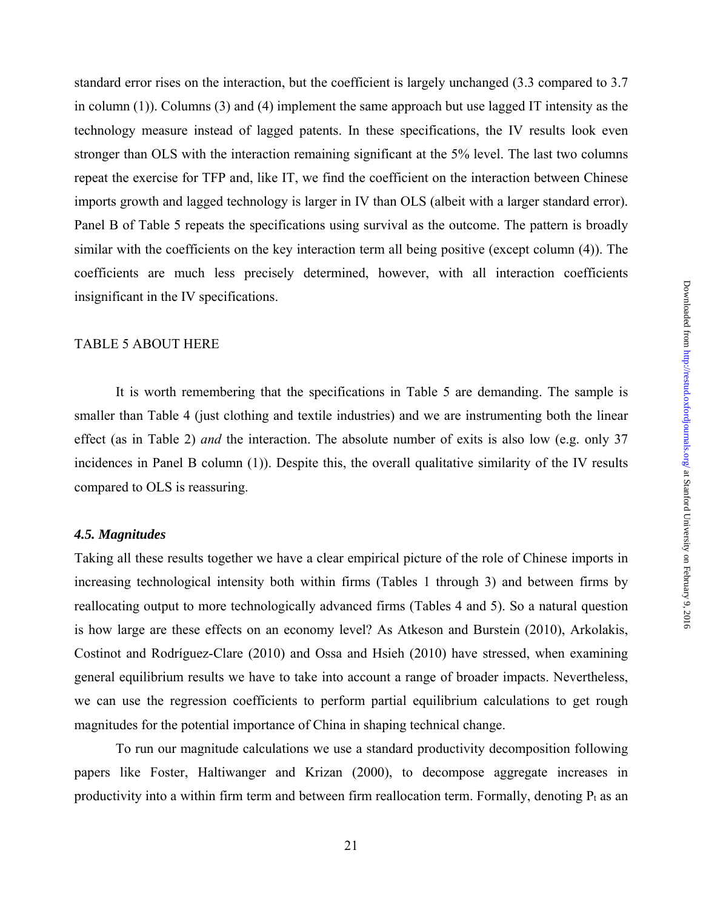standard error rises on the interaction, but the coefficient is largely unchanged (3.3 compared to 3.7 in column (1)). Columns (3) and (4) implement the same approach but use lagged IT intensity as the technology measure instead of lagged patents. In these specifications, the IV results look even stronger than OLS with the interaction remaining significant at the 5% level. The last two columns repeat the exercise for TFP and, like IT, we find the coefficient on the interaction between Chinese imports growth and lagged technology is larger in IV than OLS (albeit with a larger standard error). Panel B of Table 5 repeats the specifications using survival as the outcome. The pattern is broadly similar with the coefficients on the key interaction term all being positive (except column (4)). The coefficients are much less precisely determined, however, with all interaction coefficients insignificant in the IV specifications.

#### TABLE 5 ABOUT HERE

It is worth remembering that the specifications in Table 5 are demanding. The sample is smaller than Table 4 (just clothing and textile industries) and we are instrumenting both the linear effect (as in Table 2) *and* the interaction. The absolute number of exits is also low (e.g. only 37 incidences in Panel B column (1)). Despite this, the overall qualitative similarity of the IV results compared to OLS is reassuring.

## *4.5. Magnitudes*

Taking all these results together we have a clear empirical picture of the role of Chinese imports in increasing technological intensity both within firms (Tables 1 through 3) and between firms by reallocating output to more technologically advanced firms (Tables 4 and 5). So a natural question is how large are these effects on an economy level? As Atkeson and Burstein (2010), Arkolakis, Costinot and Rodríguez-Clare (2010) and Ossa and Hsieh (2010) have stressed, when examining general equilibrium results we have to take into account a range of broader impacts. Nevertheless, we can use the regression coefficients to perform partial equilibrium calculations to get rough magnitudes for the potential importance of China in shaping technical change.

To run our magnitude calculations we use a standard productivity decomposition following papers like Foster, Haltiwanger and Krizan (2000), to decompose aggregate increases in productivity into a within firm term and between firm reallocation term. Formally, denoting  $P_t$  as an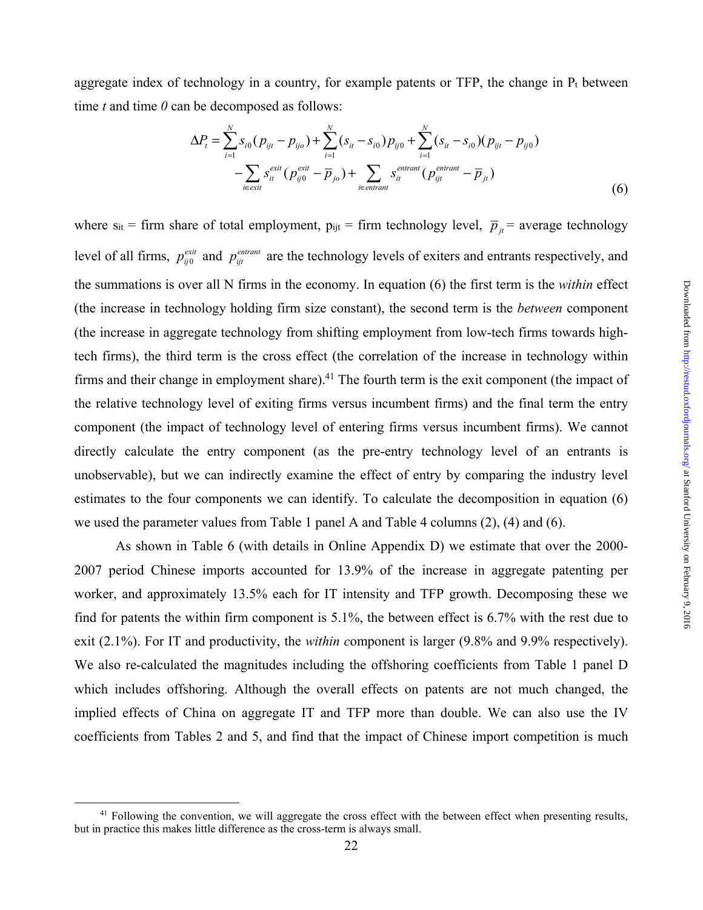aggregate index of technology in a country, for example patents or TFP, the change in  $P_t$  between time *t* and time *0* can be decomposed as follows:

$$
\Delta P_{t} = \sum_{i=1}^{N} s_{i0} (p_{ijt} - p_{ijo}) + \sum_{i=1}^{N} (s_{it} - s_{i0}) p_{ij0} + \sum_{i=1}^{N} (s_{it} - s_{i0}) (p_{ijt} - p_{ij0}) - \sum_{i \in exit} s_{it}^{exit} (p_{ij0}^{exit} - \overline{p}_{jo}) + \sum_{i \in entrant} s_{it}^{entrant} (p_{ijt}^{entrant} - \overline{p}_{jt})
$$
\n(6)

where s<sub>it</sub> = firm share of total employment,  $p_{ijt}$  = firm technology level,  $\bar{p}_{jt}$  = average technology level of all firms,  $p_{ij0}^{exit}$  and  $p_{ijt}^{entrant}$  are the technology levels of exiters and entrants respectively, and the summations is over all N firms in the economy. In equation (6) the first term is the *within* effect (the increase in technology holding firm size constant), the second term is the *between* component (the increase in aggregate technology from shifting employment from low-tech firms towards hightech firms), the third term is the cross effect (the correlation of the increase in technology within firms and their change in employment share).<sup>41</sup> The fourth term is the exit component (the impact of the relative technology level of exiting firms versus incumbent firms) and the final term the entry component (the impact of technology level of entering firms versus incumbent firms). We cannot directly calculate the entry component (as the pre-entry technology level of an entrants is unobservable), but we can indirectly examine the effect of entry by comparing the industry level estimates to the four components we can identify. To calculate the decomposition in equation (6) we used the parameter values from Table 1 panel A and Table 4 columns (2), (4) and (6).

As shown in Table 6 (with details in Online Appendix D) we estimate that over the 2000- 2007 period Chinese imports accounted for 13.9% of the increase in aggregate patenting per worker, and approximately 13.5% each for IT intensity and TFP growth. Decomposing these we find for patents the within firm component is 5.1%, the between effect is 6.7% with the rest due to exit (2.1%). For IT and productivity, the *within c*omponent is larger (9.8% and 9.9% respectively). We also re-calculated the magnitudes including the offshoring coefficients from Table 1 panel D which includes offshoring. Although the overall effects on patents are not much changed, the implied effects of China on aggregate IT and TFP more than double. We can also use the IV coefficients from Tables 2 and 5, and find that the impact of Chinese import competition is much

<sup>&</sup>lt;sup>41</sup> Following the convention, we will aggregate the cross effect with the between effect when presenting results, but in practice this makes little difference as the cross-term is always small.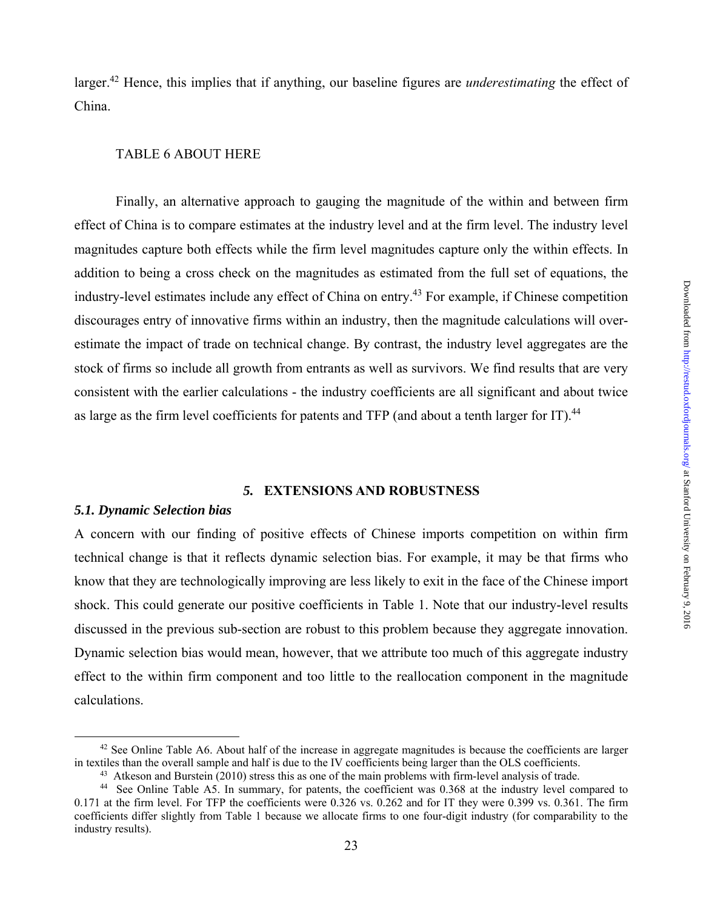larger.42 Hence, this implies that if anything, our baseline figures are *underestimating* the effect of China.

## TABLE 6 ABOUT HERE

Finally, an alternative approach to gauging the magnitude of the within and between firm effect of China is to compare estimates at the industry level and at the firm level. The industry level magnitudes capture both effects while the firm level magnitudes capture only the within effects. In addition to being a cross check on the magnitudes as estimated from the full set of equations, the industry-level estimates include any effect of China on entry.<sup>43</sup> For example, if Chinese competition discourages entry of innovative firms within an industry, then the magnitude calculations will overestimate the impact of trade on technical change. By contrast, the industry level aggregates are the stock of firms so include all growth from entrants as well as survivors. We find results that are very consistent with the earlier calculations - the industry coefficients are all significant and about twice as large as the firm level coefficients for patents and TFP (and about a tenth larger for IT).<sup>44</sup>

#### *5.* **EXTENSIONS AND ROBUSTNESS**

#### *5.1. Dynamic Selection bias*

A concern with our finding of positive effects of Chinese imports competition on within firm technical change is that it reflects dynamic selection bias. For example, it may be that firms who know that they are technologically improving are less likely to exit in the face of the Chinese import shock. This could generate our positive coefficients in Table 1. Note that our industry-level results discussed in the previous sub-section are robust to this problem because they aggregate innovation. Dynamic selection bias would mean, however, that we attribute too much of this aggregate industry effect to the within firm component and too little to the reallocation component in the magnitude calculations.

<sup>&</sup>lt;sup>42</sup> See Online Table A6. About half of the increase in aggregate magnitudes is because the coefficients are larger in textiles than the overall sample and half is due to the IV coefficients being larger than the OLS coefficients.<br><sup>43</sup> Atkeson and Burstein (2010) stress this as one of the main problems with firm-level analysis of trade.

<sup>44</sup> See Online Table A5. In summary, for patents, the coefficient was 0.368 at the industry level compared to 0.171 at the firm level. For TFP the coefficients were 0.326 vs. 0.262 and for IT they were 0.399 vs. 0.361. The firm coefficients differ slightly from Table 1 because we allocate firms to one four-digit industry (for comparability to the industry results).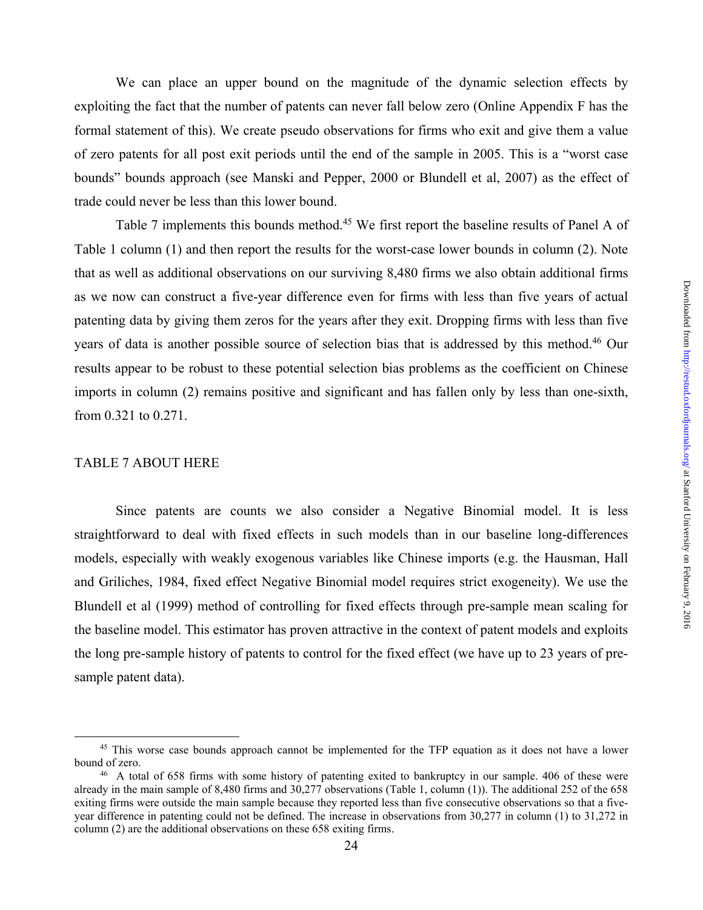We can place an upper bound on the magnitude of the dynamic selection effects by exploiting the fact that the number of patents can never fall below zero (Online Appendix F has the formal statement of this). We create pseudo observations for firms who exit and give them a value of zero patents for all post exit periods until the end of the sample in 2005. This is a "worst case bounds" bounds approach (see Manski and Pepper, 2000 or Blundell et al, 2007) as the effect of trade could never be less than this lower bound.

Table 7 implements this bounds method.<sup>45</sup> We first report the baseline results of Panel A of Table 1 column (1) and then report the results for the worst-case lower bounds in column (2). Note that as well as additional observations on our surviving 8,480 firms we also obtain additional firms as we now can construct a five-year difference even for firms with less than five years of actual patenting data by giving them zeros for the years after they exit. Dropping firms with less than five years of data is another possible source of selection bias that is addressed by this method.<sup>46</sup> Our results appear to be robust to these potential selection bias problems as the coefficient on Chinese imports in column (2) remains positive and significant and has fallen only by less than one-sixth, from 0.321 to 0.271.

#### TABLE 7 ABOUT HERE

Since patents are counts we also consider a Negative Binomial model. It is less straightforward to deal with fixed effects in such models than in our baseline long-differences models, especially with weakly exogenous variables like Chinese imports (e.g. the Hausman, Hall and Griliches, 1984, fixed effect Negative Binomial model requires strict exogeneity). We use the Blundell et al (1999) method of controlling for fixed effects through pre-sample mean scaling for the baseline model. This estimator has proven attractive in the context of patent models and exploits the long pre-sample history of patents to control for the fixed effect (we have up to 23 years of presample patent data).

<sup>&</sup>lt;sup>45</sup> This worse case bounds approach cannot be implemented for the TFP equation as it does not have a lower bound of zero.<br><sup>46</sup> A total of 658 firms with some history of patenting exited to bankruptcy in our sample. 406 of these were

already in the main sample of 8,480 firms and 30,277 observations (Table 1, column (1)). The additional 252 of the 658 exiting firms were outside the main sample because they reported less than five consecutive observations so that a fiveyear difference in patenting could not be defined. The increase in observations from 30,277 in column (1) to 31,272 in column (2) are the additional observations on these 658 exiting firms.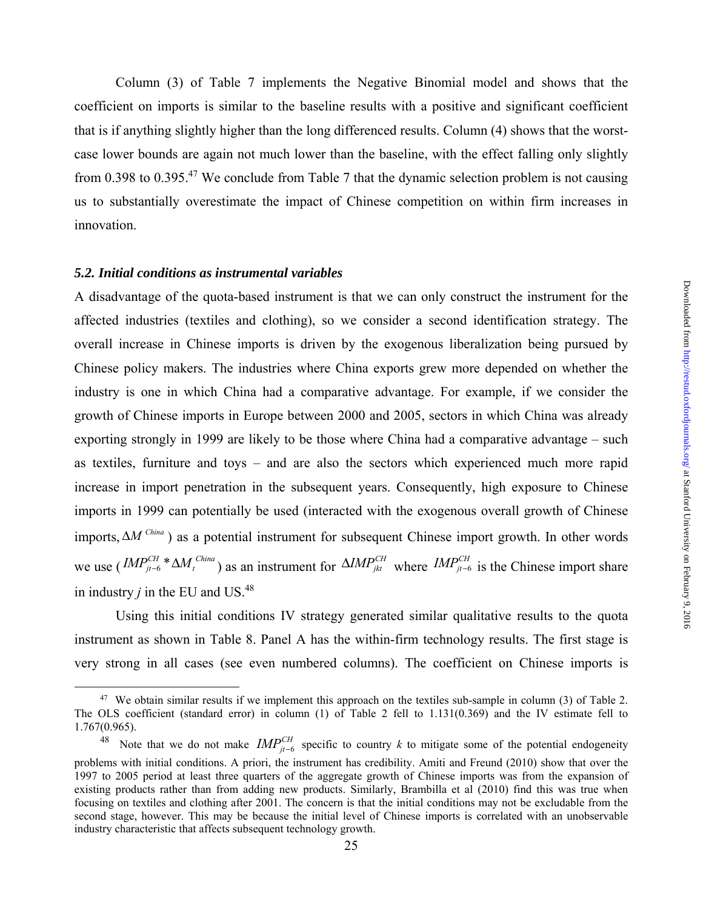Column (3) of Table 7 implements the Negative Binomial model and shows that the coefficient on imports is similar to the baseline results with a positive and significant coefficient that is if anything slightly higher than the long differenced results. Column (4) shows that the worstcase lower bounds are again not much lower than the baseline, with the effect falling only slightly from 0.398 to 0.395.<sup>47</sup> We conclude from Table 7 that the dynamic selection problem is not causing us to substantially overestimate the impact of Chinese competition on within firm increases in innovation.

## *5.2. Initial conditions as instrumental variables*

A disadvantage of the quota-based instrument is that we can only construct the instrument for the affected industries (textiles and clothing), so we consider a second identification strategy. The overall increase in Chinese imports is driven by the exogenous liberalization being pursued by Chinese policy makers. The industries where China exports grew more depended on whether the industry is one in which China had a comparative advantage. For example, if we consider the growth of Chinese imports in Europe between 2000 and 2005, sectors in which China was already exporting strongly in 1999 are likely to be those where China had a comparative advantage – such as textiles, furniture and toys – and are also the sectors which experienced much more rapid increase in import penetration in the subsequent years. Consequently, high exposure to Chinese imports in 1999 can potentially be used (interacted with the exogenous overall growth of Chinese imports,  $\Delta M^{China}$ ) as a potential instrument for subsequent Chinese import growth. In other words we use  $(MP_{jt-6}^{CH} * \Delta M_t^{China})$  as an instrument for  $\Delta M P_{jkt}^{CH}$  where  $M P_{jt-6}^{CH}$  is the Chinese import share in industry  $j$  in the EU and US.<sup>48</sup>

Using this initial conditions IV strategy generated similar qualitative results to the quota instrument as shown in Table 8. Panel A has the within-firm technology results. The first stage is very strong in all cases (see even numbered columns). The coefficient on Chinese imports is

<sup>&</sup>lt;sup>47</sup> We obtain similar results if we implement this approach on the textiles sub-sample in column (3) of Table 2. The OLS coefficient (standard error) in column (1) of Table 2 fell to 1.131(0.369) and the IV estimate fell to 1.767(0.965).

<sup>&</sup>lt;sup>48</sup> Note that we do not make  $IMP_{j_{t-6}}^{CH}$  specific to country *k* to mitigate some of the potential endogeneity problems with initial conditions. A priori, the instrument has credibility. Amiti and Freund (2010) show that over the 1997 to 2005 period at least three quarters of the aggregate growth of Chinese imports was from the expansion of existing products rather than from adding new products. Similarly, Brambilla et al (2010) find this was true when focusing on textiles and clothing after 2001. The concern is that the initial conditions may not be excludable from the second stage, however. This may be because the initial level of Chinese imports is correlated with an unobservable industry characteristic that affects subsequent technology growth.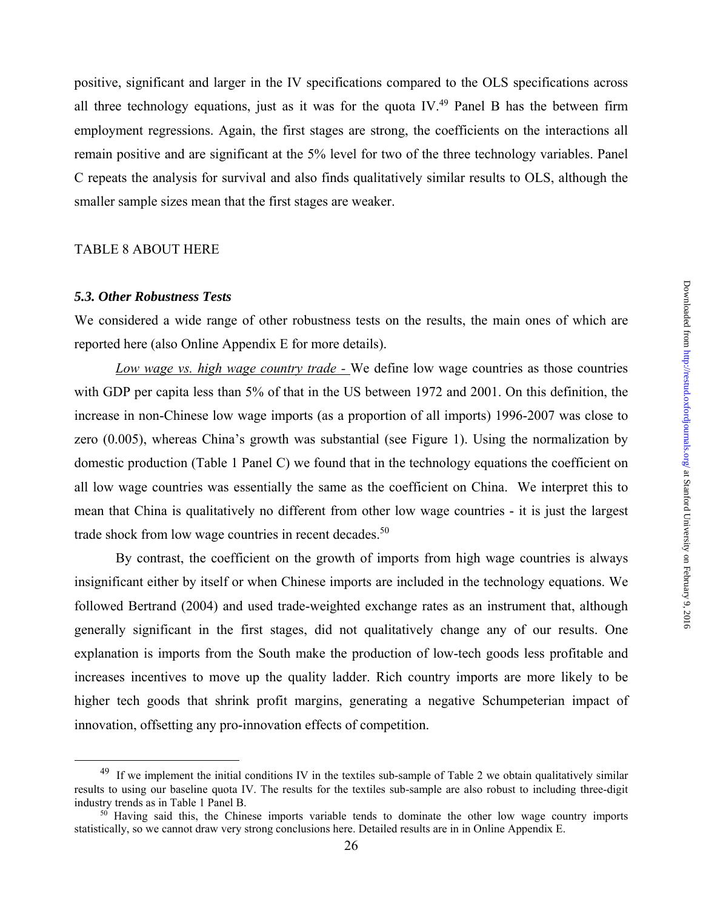positive, significant and larger in the IV specifications compared to the OLS specifications across all three technology equations, just as it was for the quota IV.<sup>49</sup> Panel B has the between firm employment regressions. Again, the first stages are strong, the coefficients on the interactions all remain positive and are significant at the 5% level for two of the three technology variables. Panel C repeats the analysis for survival and also finds qualitatively similar results to OLS, although the smaller sample sizes mean that the first stages are weaker.

## TABLE 8 ABOUT HERE

#### *5.3. Other Robustness Tests*

We considered a wide range of other robustness tests on the results, the main ones of which are reported here (also Online Appendix E for more details).

*Low wage vs. high wage country trade -* We define low wage countries as those countries with GDP per capita less than 5% of that in the US between 1972 and 2001. On this definition, the increase in non-Chinese low wage imports (as a proportion of all imports) 1996-2007 was close to zero (0.005), whereas China's growth was substantial (see Figure 1). Using the normalization by domestic production (Table 1 Panel C) we found that in the technology equations the coefficient on all low wage countries was essentially the same as the coefficient on China. We interpret this to mean that China is qualitatively no different from other low wage countries - it is just the largest trade shock from low wage countries in recent decades.<sup>50</sup>

 By contrast, the coefficient on the growth of imports from high wage countries is always insignificant either by itself or when Chinese imports are included in the technology equations. We followed Bertrand (2004) and used trade-weighted exchange rates as an instrument that, although generally significant in the first stages, did not qualitatively change any of our results. One explanation is imports from the South make the production of low-tech goods less profitable and increases incentives to move up the quality ladder. Rich country imports are more likely to be higher tech goods that shrink profit margins, generating a negative Schumpeterian impact of innovation, offsetting any pro-innovation effects of competition.

 $49$  If we implement the initial conditions IV in the textiles sub-sample of Table 2 we obtain qualitatively similar results to using our baseline quota IV. The results for the textiles sub-sample are also robust to including three-digit industry trends as in Table 1 Panel B.

 $50$  Having said this, the Chinese imports variable tends to dominate the other low wage country imports statistically, so we cannot draw very strong conclusions here. Detailed results are in in Online Appendix E.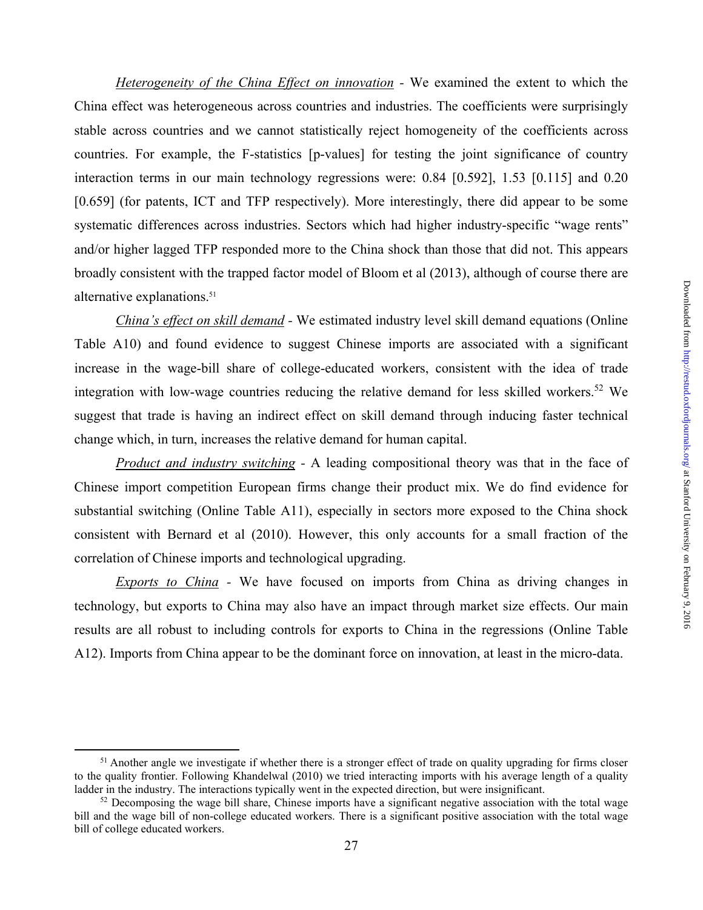*Heterogeneity of the China Effect on innovation -* We examined the extent to which the China effect was heterogeneous across countries and industries. The coefficients were surprisingly stable across countries and we cannot statistically reject homogeneity of the coefficients across countries. For example, the F-statistics [p-values] for testing the joint significance of country interaction terms in our main technology regressions were: 0.84 [0.592], 1.53 [0.115] and 0.20 [0.659] (for patents, ICT and TFP respectively). More interestingly, there did appear to be some systematic differences across industries. Sectors which had higher industry-specific "wage rents" and/or higher lagged TFP responded more to the China shock than those that did not. This appears broadly consistent with the trapped factor model of Bloom et al (2013), although of course there are alternative explanations.51

*China's effect on skill demand -* We estimated industry level skill demand equations (Online Table A10) and found evidence to suggest Chinese imports are associated with a significant increase in the wage-bill share of college-educated workers, consistent with the idea of trade integration with low-wage countries reducing the relative demand for less skilled workers.<sup>52</sup> We suggest that trade is having an indirect effect on skill demand through inducing faster technical change which, in turn, increases the relative demand for human capital.

*Product and industry switching -* A leading compositional theory was that in the face of Chinese import competition European firms change their product mix. We do find evidence for substantial switching (Online Table A11), especially in sectors more exposed to the China shock consistent with Bernard et al (2010). However, this only accounts for a small fraction of the correlation of Chinese imports and technological upgrading.

*Exports to China -* We have focused on imports from China as driving changes in technology, but exports to China may also have an impact through market size effects. Our main results are all robust to including controls for exports to China in the regressions (Online Table A12). Imports from China appear to be the dominant force on innovation, at least in the micro-data.

 $<sup>51</sup>$  Another angle we investigate if whether there is a stronger effect of trade on quality upgrading for firms closer</sup> to the quality frontier. Following Khandelwal (2010) we tried interacting imports with his average length of a quality ladder in the industry. The interactions typically went in the expected direction, but were insignificant.

 $52$  Decomposing the wage bill share, Chinese imports have a significant negative association with the total wage bill and the wage bill of non-college educated workers. There is a significant positive association with the total wage bill of college educated workers.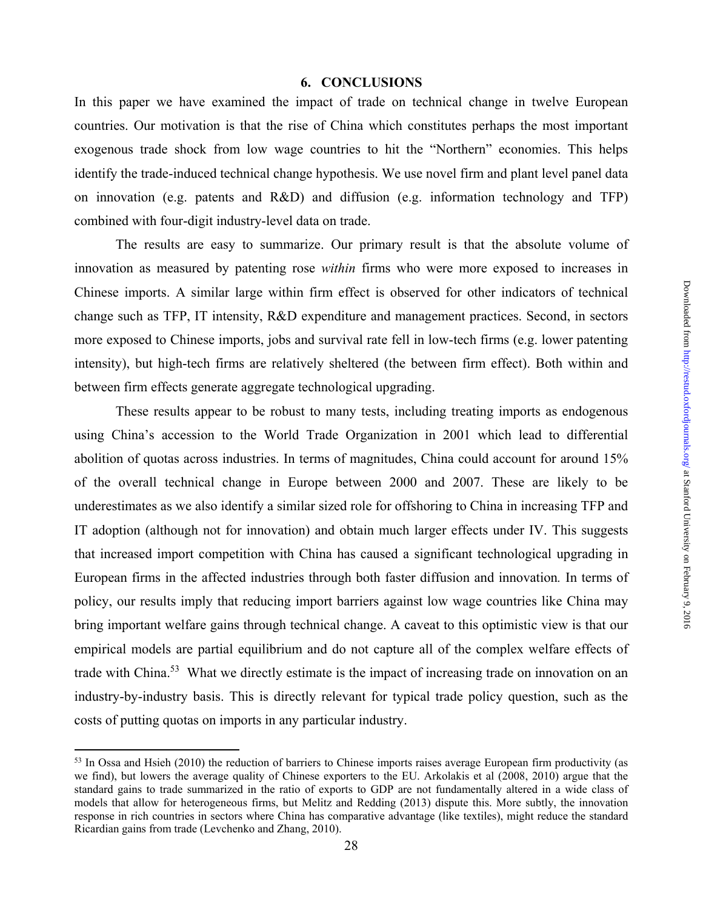## **6. CONCLUSIONS**

In this paper we have examined the impact of trade on technical change in twelve European countries. Our motivation is that the rise of China which constitutes perhaps the most important exogenous trade shock from low wage countries to hit the "Northern" economies. This helps identify the trade-induced technical change hypothesis. We use novel firm and plant level panel data on innovation (e.g. patents and R&D) and diffusion (e.g. information technology and TFP) combined with four-digit industry-level data on trade.

 The results are easy to summarize. Our primary result is that the absolute volume of innovation as measured by patenting rose *within* firms who were more exposed to increases in Chinese imports. A similar large within firm effect is observed for other indicators of technical change such as TFP, IT intensity, R&D expenditure and management practices. Second, in sectors more exposed to Chinese imports, jobs and survival rate fell in low-tech firms (e.g. lower patenting intensity), but high-tech firms are relatively sheltered (the between firm effect). Both within and between firm effects generate aggregate technological upgrading.

 These results appear to be robust to many tests, including treating imports as endogenous using China's accession to the World Trade Organization in 2001 which lead to differential abolition of quotas across industries. In terms of magnitudes, China could account for around 15% of the overall technical change in Europe between 2000 and 2007. These are likely to be underestimates as we also identify a similar sized role for offshoring to China in increasing TFP and IT adoption (although not for innovation) and obtain much larger effects under IV. This suggests that increased import competition with China has caused a significant technological upgrading in European firms in the affected industries through both faster diffusion and innovation*.* In terms of policy, our results imply that reducing import barriers against low wage countries like China may bring important welfare gains through technical change. A caveat to this optimistic view is that our empirical models are partial equilibrium and do not capture all of the complex welfare effects of trade with China.<sup>53</sup> What we directly estimate is the impact of increasing trade on innovation on an industry-by-industry basis. This is directly relevant for typical trade policy question, such as the costs of putting quotas on imports in any particular industry.

 $\overline{a}$ 

<sup>&</sup>lt;sup>53</sup> In Ossa and Hsieh (2010) the reduction of barriers to Chinese imports raises average European firm productivity (as we find), but lowers the average quality of Chinese exporters to the EU. Arkolakis et al (2008, 2010) argue that the standard gains to trade summarized in the ratio of exports to GDP are not fundamentally altered in a wide class of models that allow for heterogeneous firms, but Melitz and Redding (2013) dispute this. More subtly, the innovation response in rich countries in sectors where China has comparative advantage (like textiles), might reduce the standard Ricardian gains from trade (Levchenko and Zhang, 2010).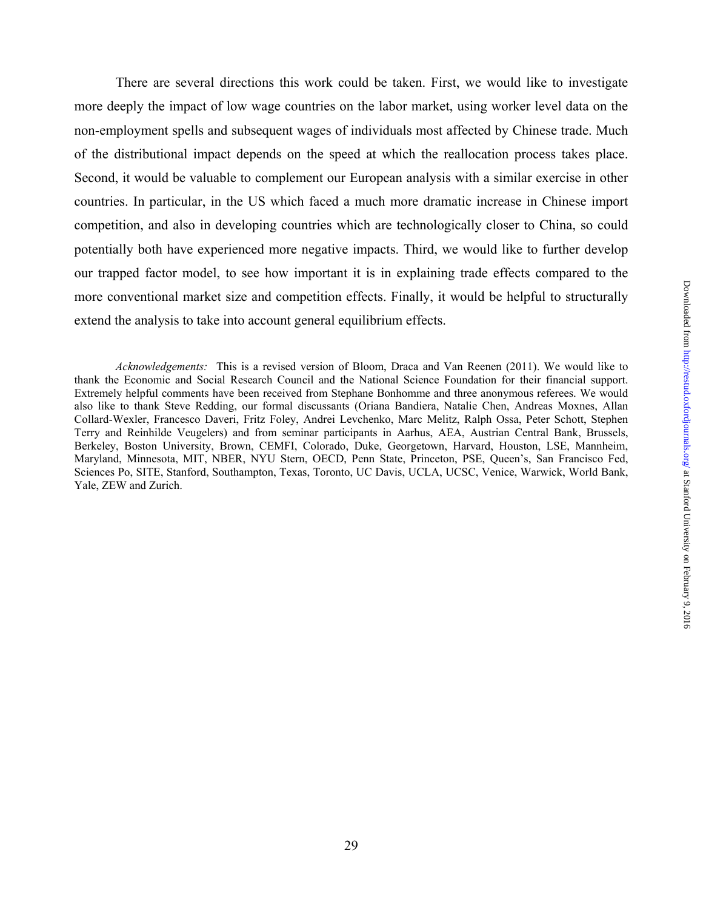There are several directions this work could be taken. First, we would like to investigate more deeply the impact of low wage countries on the labor market, using worker level data on the non-employment spells and subsequent wages of individuals most affected by Chinese trade. Much of the distributional impact depends on the speed at which the reallocation process takes place. Second, it would be valuable to complement our European analysis with a similar exercise in other countries. In particular, in the US which faced a much more dramatic increase in Chinese import competition, and also in developing countries which are technologically closer to China, so could potentially both have experienced more negative impacts. Third, we would like to further develop our trapped factor model, to see how important it is in explaining trade effects compared to the more conventional market size and competition effects. Finally, it would be helpful to structurally extend the analysis to take into account general equilibrium effects.

*Acknowledgements:* This is a revised version of Bloom, Draca and Van Reenen (2011). We would like to thank the Economic and Social Research Council and the National Science Foundation for their financial support. Extremely helpful comments have been received from Stephane Bonhomme and three anonymous referees. We would also like to thank Steve Redding, our formal discussants (Oriana Bandiera, Natalie Chen, Andreas Moxnes, Allan Collard-Wexler, Francesco Daveri, Fritz Foley, Andrei Levchenko, Marc Melitz, Ralph Ossa, Peter Schott, Stephen Terry and Reinhilde Veugelers) and from seminar participants in Aarhus, AEA, Austrian Central Bank, Brussels, Berkeley, Boston University, Brown, CEMFI, Colorado, Duke, Georgetown, Harvard, Houston, LSE, Mannheim, Maryland, Minnesota, MIT, NBER, NYU Stern, OECD, Penn State, Princeton, PSE, Queen's, San Francisco Fed, Sciences Po, SITE, Stanford, Southampton, Texas, Toronto, UC Davis, UCLA, UCSC, Venice, Warwick, World Bank, Yale, ZEW and Zurich.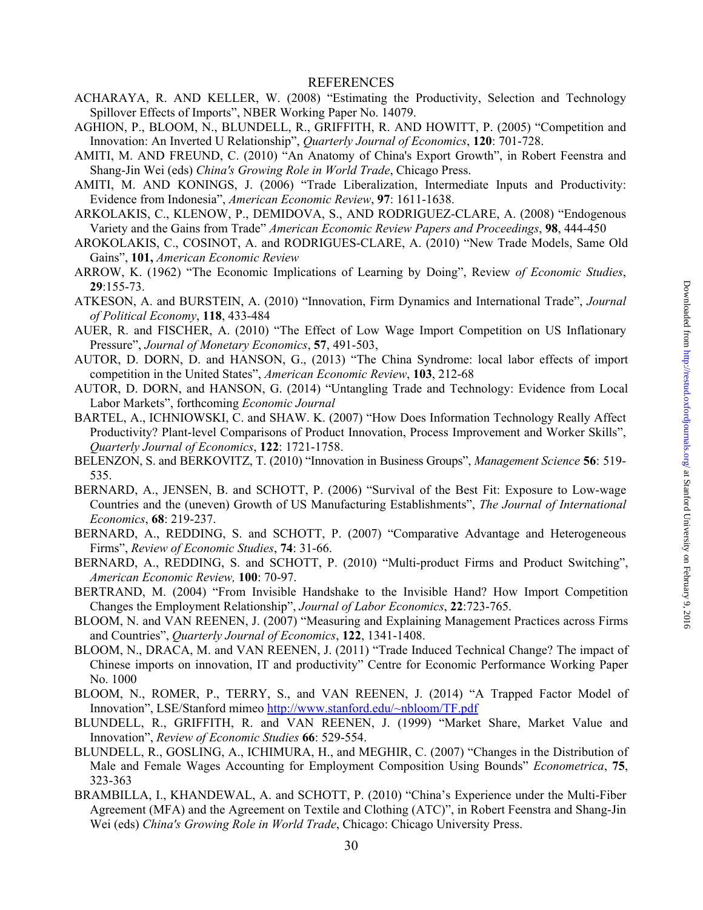#### REFERENCES

- ACHARAYA, R. AND KELLER, W. (2008) "Estimating the Productivity, Selection and Technology Spillover Effects of Imports", NBER Working Paper No. 14079.
- AGHION, P., BLOOM, N., BLUNDELL, R., GRIFFITH, R. AND HOWITT, P. (2005) "Competition and Innovation: An Inverted U Relationship", *Quarterly Journal of Economics*, **120**: 701-728.
- AMITI, M. AND FREUND, C. (2010) "An Anatomy of China's Export Growth", in Robert Feenstra and Shang-Jin Wei (eds) *China's Growing Role in World Trade*, Chicago Press.
- AMITI, M. AND KONINGS, J. (2006) "Trade Liberalization, Intermediate Inputs and Productivity: Evidence from Indonesia", *American Economic Review*, **97**: 1611-1638.
- ARKOLAKIS, C., KLENOW, P., DEMIDOVA, S., AND RODRIGUEZ-CLARE, A. (2008) "Endogenous Variety and the Gains from Trade" *American Economic Review Papers and Proceedings*, **98**, 444-450
- AROKOLAKIS, C., COSINOT, A. and RODRIGUES-CLARE, A. (2010) "New Trade Models, Same Old Gains", **101,** *American Economic Review*
- ARROW, K. (1962) "The Economic Implications of Learning by Doing", Review *of Economic Studies*, **29**:155-73.
- ATKESON, A. and BURSTEIN, A. (2010) "Innovation, Firm Dynamics and International Trade", *Journal of Political Economy*, **118**, 433-484
- AUER, R. and FISCHER, A. (2010) "The Effect of Low Wage Import Competition on US Inflationary Pressure", *Journal of Monetary Economics*, **57**, 491-503,
- AUTOR, D. DORN, D. and HANSON, G., (2013) "The China Syndrome: local labor effects of import competition in the United States", *American Economic Review*, **103**, 212-68
- AUTOR, D. DORN, and HANSON, G. (2014) "Untangling Trade and Technology: Evidence from Local Labor Markets", forthcoming *Economic Journal*
- BARTEL, A., ICHNIOWSKI, C. and SHAW. K. (2007) "How Does Information Technology Really Affect Productivity? Plant-level Comparisons of Product Innovation, Process Improvement and Worker Skills", *Quarterly Journal of Economics*, **122**: 1721-1758.
- BELENZON, S. and BERKOVITZ, T. (2010) "Innovation in Business Groups", *Management Science* **56**: 519- 535.
- BERNARD, A., JENSEN, B. and SCHOTT, P. (2006) "Survival of the Best Fit: Exposure to Low-wage Countries and the (uneven) Growth of US Manufacturing Establishments", *The Journal of International Economics*, **68**: 219-237.
- BERNARD, A., REDDING, S. and SCHOTT, P. (2007) "Comparative Advantage and Heterogeneous Firms", *Review of Economic Studies*, **74**: 31-66.
- BERNARD, A., REDDING, S. and SCHOTT, P. (2010) "Multi-product Firms and Product Switching", *American Economic Review,* **100**: 70-97.
- BERTRAND, M. (2004) "From Invisible Handshake to the Invisible Hand? How Import Competition Changes the Employment Relationship", *Journal of Labor Economics*, **22**:723-765.
- BLOOM, N. and VAN REENEN, J. (2007) "Measuring and Explaining Management Practices across Firms and Countries", *Quarterly Journal of Economics*, **122**, 1341-1408.
- BLOOM, N., DRACA, M. and VAN REENEN, J. (2011) "Trade Induced Technical Change? The impact of Chinese imports on innovation, IT and productivity" Centre for Economic Performance Working Paper No. 1000
- BLOOM, N., ROMER, P., TERRY, S., and VAN REENEN, J. (2014) "A Trapped Factor Model of Innovation", LSE/Stanford mimeo http://www.stanford.edu/~nbloom/TF.pdf
- BLUNDELL, R., GRIFFITH, R. and VAN REENEN, J. (1999) "Market Share, Market Value and Innovation", *Review of Economic Studies* **66**: 529-554.
- BLUNDELL, R., GOSLING, A., ICHIMURA, H., and MEGHIR, C. (2007) "Changes in the Distribution of Male and Female Wages Accounting for Employment Composition Using Bounds" *Econometrica*, **75**, 323-363
- BRAMBILLA, I., KHANDEWAL, A. and SCHOTT, P. (2010) "China's Experience under the Multi-Fiber Agreement (MFA) and the Agreement on Textile and Clothing (ATC)", in Robert Feenstra and Shang-Jin Wei (eds) *China's Growing Role in World Trade*, Chicago: Chicago University Press.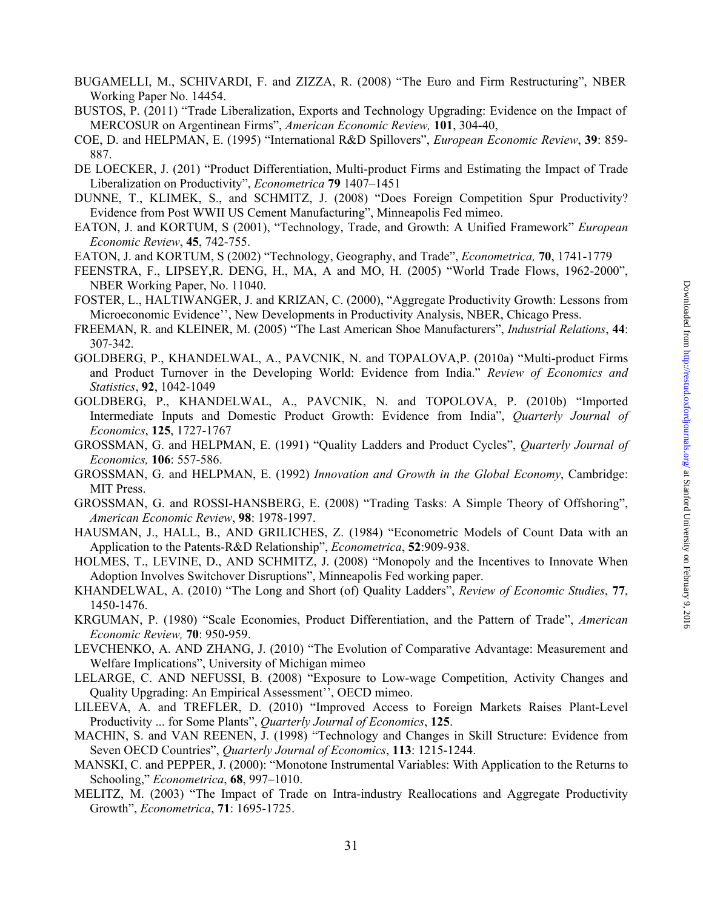- BUGAMELLI, M., SCHIVARDI, F. and ZIZZA, R. (2008) "The Euro and Firm Restructuring", NBER Working Paper No. 14454.
- BUSTOS, P. (2011) "Trade Liberalization, Exports and Technology Upgrading: Evidence on the Impact of MERCOSUR on Argentinean Firms", *American Economic Review,* **101**, 304-40,
- COE, D. and HELPMAN, E. (1995) "International R&D Spillovers", *European Economic Review*, **39**: 859- 887.
- DE LOECKER, J. (201) "Product Differentiation, Multi-product Firms and Estimating the Impact of Trade Liberalization on Productivity", *Econometrica* **79** 1407–1451
- DUNNE, T., KLIMEK, S., and SCHMITZ, J. (2008) "Does Foreign Competition Spur Productivity? Evidence from Post WWII US Cement Manufacturing", Minneapolis Fed mimeo.
- EATON, J. and KORTUM, S (2001), "Technology, Trade, and Growth: A Unified Framework" *European Economic Review*, **45**, 742-755.
- EATON, J. and KORTUM, S (2002) "Technology, Geography, and Trade", *Econometrica,* **70**, 1741-1779
- FEENSTRA, F., LIPSEY,R. DENG, H., MA, A and MO, H. (2005) "World Trade Flows, 1962-2000", NBER Working Paper, No. 11040.
- FOSTER, L., HALTIWANGER, J. and KRIZAN, C. (2000), "Aggregate Productivity Growth: Lessons from Microeconomic Evidence'', New Developments in Productivity Analysis, NBER, Chicago Press.
- FREEMAN, R. and KLEINER, M. (2005) "The Last American Shoe Manufacturers", *Industrial Relations*, **44**: 307-342.
- GOLDBERG, P., KHANDELWAL, A., PAVCNIK, N. and TOPALOVA,P. (2010a) "Multi-product Firms and Product Turnover in the Developing World: Evidence from India." *Review of Economics and Statistics*, **92**, 1042-1049
- GOLDBERG, P., KHANDELWAL, A., PAVCNIK, N. and TOPOLOVA, P. (2010b) "Imported Intermediate Inputs and Domestic Product Growth: Evidence from India", *Quarterly Journal of Economics*, **125**, 1727-1767
- GROSSMAN, G. and HELPMAN, E. (1991) "Quality Ladders and Product Cycles", *Quarterly Journal of Economics,* **106**: 557-586.
- GROSSMAN, G. and HELPMAN, E. (1992) *Innovation and Growth in the Global Economy*, Cambridge: MIT Press.
- GROSSMAN, G. and ROSSI-HANSBERG, E. (2008) "Trading Tasks: A Simple Theory of Offshoring", *American Economic Review*, **98**: 1978-1997.
- HAUSMAN, J., HALL, B., AND GRILICHES, Z. (1984) "Econometric Models of Count Data with an Application to the Patents-R&D Relationship", *Econometrica*, **52**:909-938.
- HOLMES, T., LEVINE, D., AND SCHMITZ, J. (2008) "Monopoly and the Incentives to Innovate When Adoption Involves Switchover Disruptions", Minneapolis Fed working paper.
- KHANDELWAL, A. (2010) "The Long and Short (of) Quality Ladders", *Review of Economic Studies*, **77**, 1450-1476.
- KRGUMAN, P. (1980) "Scale Economies, Product Differentiation, and the Pattern of Trade", *American Economic Review,* **70**: 950-959.
- LEVCHENKO, A. AND ZHANG, J. (2010) "The Evolution of Comparative Advantage: Measurement and Welfare Implications", University of Michigan mimeo
- LELARGE, C. AND NEFUSSI, B. (2008) "Exposure to Low-wage Competition, Activity Changes and Quality Upgrading: An Empirical Assessment'', OECD mimeo.
- LILEEVA, A. and TREFLER, D. (2010) "Improved Access to Foreign Markets Raises Plant-Level Productivity ... for Some Plants", *Quarterly Journal of Economics*, **125**.
- MACHIN, S. and VAN REENEN, J. (1998) "Technology and Changes in Skill Structure: Evidence from Seven OECD Countries", *Quarterly Journal of Economics*, **113**: 1215-1244.
- MANSKI, C. and PEPPER, J. (2000): "Monotone Instrumental Variables: With Application to the Returns to Schooling," *Econometrica*, **68**, 997–1010.
- MELITZ, M. (2003) "The Impact of Trade on Intra-industry Reallocations and Aggregate Productivity Growth", *Econometrica*, **71**: 1695-1725.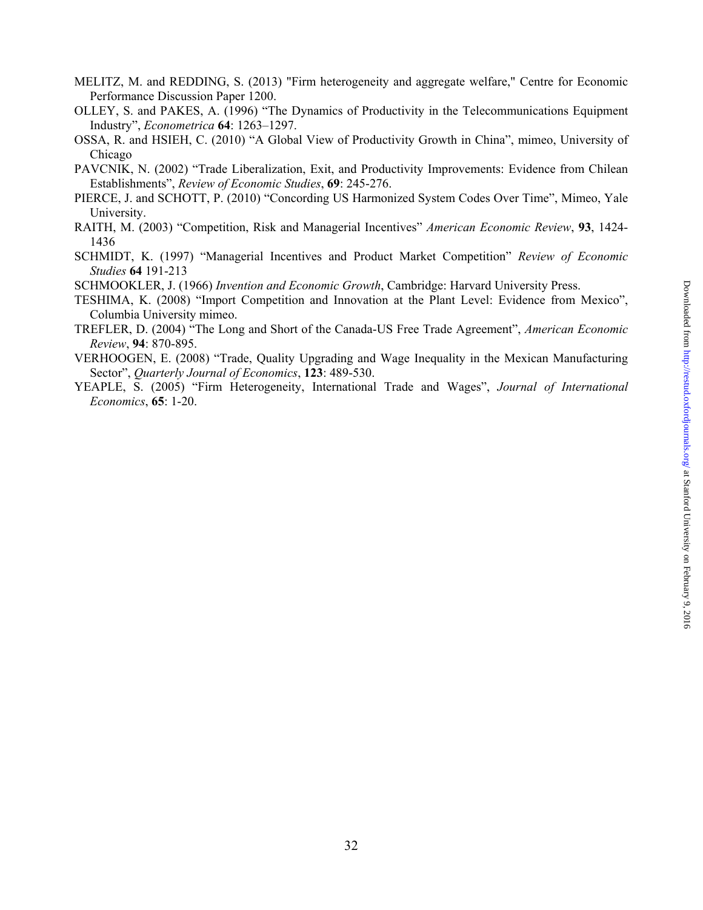- MELITZ, M. and REDDING, S. (2013) "Firm heterogeneity and aggregate welfare," Centre for Economic Performance Discussion Paper 1200.
- OLLEY, S. and PAKES, A. (1996) "The Dynamics of Productivity in the Telecommunications Equipment Industry", *Econometrica* **64**: 1263–1297.
- OSSA, R. and HSIEH, C. (2010) "A Global View of Productivity Growth in China", mimeo, University of Chicago
- PAVCNIK, N. (2002) "Trade Liberalization, Exit, and Productivity Improvements: Evidence from Chilean Establishments", *Review of Economic Studies*, **69**: 245-276.
- PIERCE, J. and SCHOTT, P. (2010) "Concording US Harmonized System Codes Over Time", Mimeo, Yale University.
- RAITH, M. (2003) "Competition, Risk and Managerial Incentives" *American Economic Review*, **93**, 1424- 1436
- SCHMIDT, K. (1997) "Managerial Incentives and Product Market Competition" *Review of Economic Studies* **64** 191-213
- SCHMOOKLER, J. (1966) *Invention and Economic Growth*, Cambridge: Harvard University Press.
- TESHIMA, K. (2008) "Import Competition and Innovation at the Plant Level: Evidence from Mexico", Columbia University mimeo.
- TREFLER, D. (2004) "The Long and Short of the Canada-US Free Trade Agreement", *American Economic Review*, **94**: 870-895.
- VERHOOGEN, E. (2008) "Trade, Quality Upgrading and Wage Inequality in the Mexican Manufacturing Sector", *Quarterly Journal of Economics*, **123**: 489-530.
- YEAPLE, S. (2005) "Firm Heterogeneity, International Trade and Wages", *Journal of International Economics*, **65**: 1-20.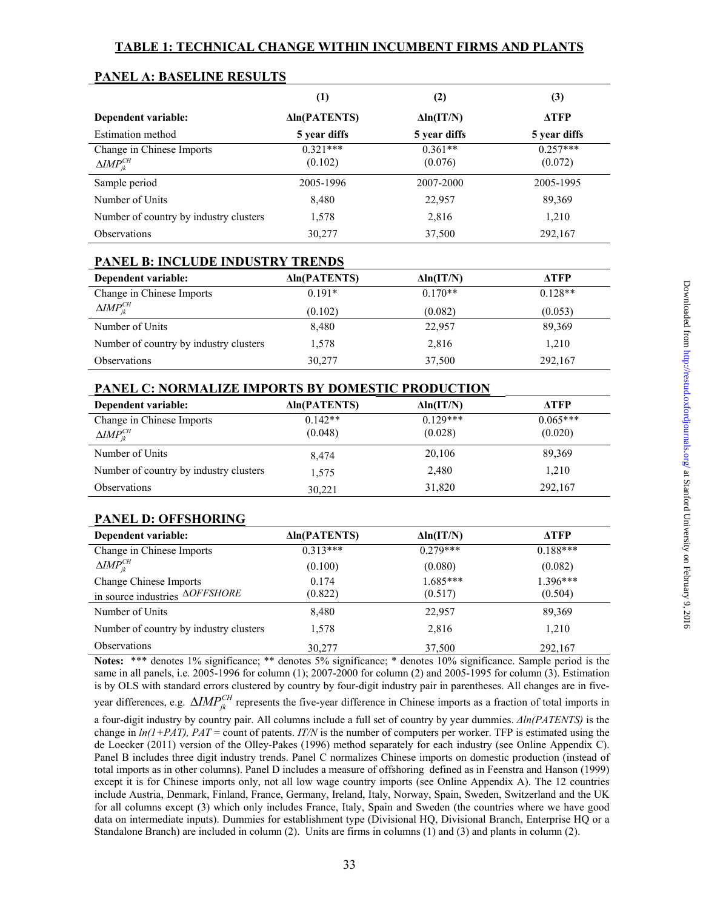|                                                                              | $\left(1\right)$      | (2)                  | (3)                   |
|------------------------------------------------------------------------------|-----------------------|----------------------|-----------------------|
| Dependent variable:                                                          | <b>Aln(PATENTS)</b>   | $\Delta$ ln(IT/N)    | <b>ATFP</b>           |
| Estimation method                                                            | 5 year diffs          | 5 year diffs         | 5 year diffs          |
| Change in Chinese Imports<br>$\Delta$ <i>IMP</i> <sup>CH</sup> <sub>jk</sub> | $0.321***$<br>(0.102) | $0.361**$<br>(0.076) | $0.257***$<br>(0.072) |
| Sample period                                                                | 2005-1996             | 2007-2000            | 2005-1995             |
| Number of Units                                                              | 8,480                 | 22,957               | 89,369                |
| Number of country by industry clusters                                       | 1,578                 | 2,816                | 1,210                 |
| <b>Observations</b>                                                          | 30,277                | 37,500               | 292,167               |

## **PANEL A: BASELINE RESULTS**

## **PANEL B: INCLUDE INDUSTRY TRENDS**

| Dependent variable:                    | <b>Aln(PATENTS)</b> | $\Delta$ ln(IT/N) | ATFP      |
|----------------------------------------|---------------------|-------------------|-----------|
| Change in Chinese Imports              | $0.191*$            | $0.170**$         | $0.128**$ |
| $\Delta$ <i>IMP</i> $_{ik}^{CH}$       | (0.102)             | (0.082)           | (0.053)   |
| Number of Units                        | 8,480               | 22,957            | 89,369    |
| Number of country by industry clusters | 1,578               | 2,816             | 1,210     |
| <b>Observations</b>                    | 30,277              | 37,500            | 292,167   |

## **PANEL C: NORMALIZE IMPORTS BY DOMESTIC PRODUCTION**

| Dependent variable:                             | <b>Aln(PATENTS)</b> | $\Delta$ ln(IT/N) | ATFP       |
|-------------------------------------------------|---------------------|-------------------|------------|
| Change in Chinese Imports                       | $0.142**$           | $0.129***$        | $0.065***$ |
| $\Delta$ <i>IMP</i> <sup>CH</sup> <sub>ik</sub> | (0.048)             | (0.028)           | (0.020)    |
| Number of Units                                 | 8.474               | 20,106            | 89,369     |
| Number of country by industry clusters          | 1,575               | 2,480             | 1,210      |
| <b>Observations</b>                             | 30,221              | 31,820            | 292,167    |

#### **PANEL D: OFFSHORING**

| Dependent variable:                    | <b>Aln(PATENTS)</b> | $\Delta$ ln(IT/N) | <b>ATFP</b> |
|----------------------------------------|---------------------|-------------------|-------------|
| Change in Chinese Imports              | $0.313***$          | $0.279***$        | $0.188***$  |
| $\Delta$ <i>IMP</i> $_{ik}^{CH}$       | (0.100)             | (0.080)           | (0.082)     |
| Change Chinese Imports                 | 0.174               | $1.685***$        | 1.396***    |
| in source industries $\Delta$ OFFSHORE | (0.822)             | (0.517)           | (0.504)     |
| Number of Units                        | 8,480               | 22,957            | 89,369      |
| Number of country by industry clusters | 1,578               | 2,816             | 1,210       |
| <b>Observations</b>                    | 30.277              | 37,500            | 292,167     |

**Notes:** \*\*\* denotes 1% significance; \*\* denotes 5% significance; \* denotes 10% significance. Sample period is the same in all panels, i.e. 2005-1996 for column (1); 2007-2000 for column (2) and 2005-1995 for column (3). Estimation is by OLS with standard errors clustered by country by four-digit industry pair in parentheses. All changes are in five-

year differences, e.g.  $\Delta IMP_{jk}^{CH}$  represents the five-year difference in Chinese imports as a fraction of total imports in

a four-digit industry by country pair. All columns include a full set of country by year dummies. *Δln(PATENTS)* is the change in  $ln(1+PAT)$ ,  $PAT =$  count of patents. *IT/N* is the number of computers per worker. TFP is estimated using the de Loecker (2011) version of the Olley-Pakes (1996) method separately for each industry (see Online Appendix C). Panel B includes three digit industry trends. Panel C normalizes Chinese imports on domestic production (instead of total imports as in other columns). Panel D includes a measure of offshoring defined as in Feenstra and Hanson (1999) except it is for Chinese imports only, not all low wage country imports (see Online Appendix A). The 12 countries include Austria, Denmark, Finland, France, Germany, Ireland, Italy, Norway, Spain, Sweden, Switzerland and the UK for all columns except (3) which only includes France, Italy, Spain and Sweden (the countries where we have good data on intermediate inputs). Dummies for establishment type (Divisional HQ, Divisional Branch, Enterprise HQ or a Standalone Branch) are included in column (2). Units are firms in columns (1) and (3) and plants in column (2).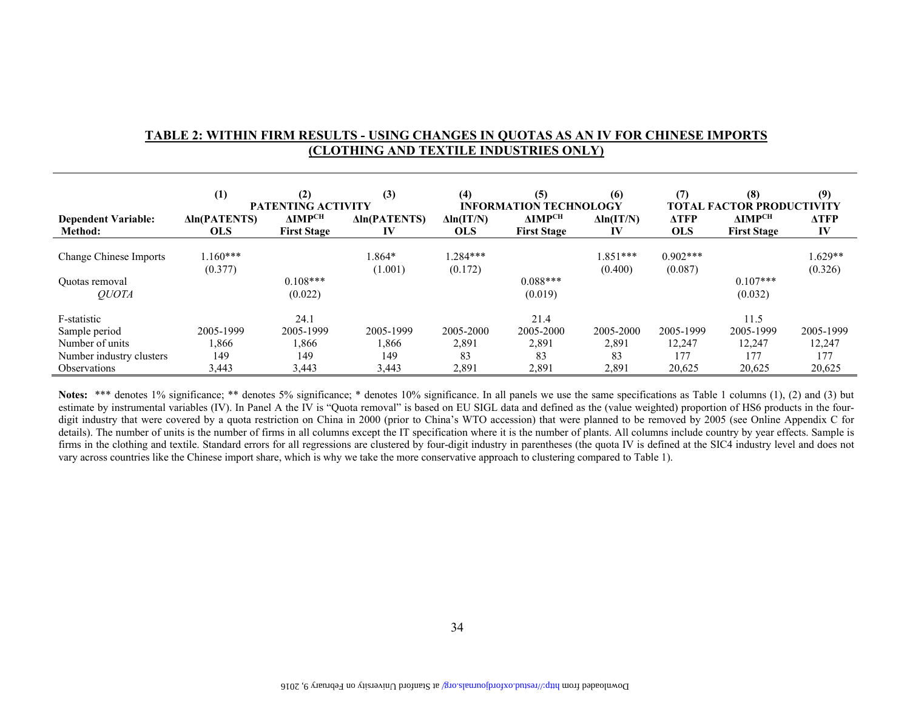## **TABLE 2: WITHIN FIRM RESULTS - USING CHANGES IN QUOTAS AS AN IV FOR CHINESE IMPORTS (CLOTHING AND TEXTILE INDUSTRIES ONLY)**

|                                       | (1)                               | (2)<br><b>PATENTING ACTIVITY</b>            | (3)                       | (4)                             | (5)<br><b>INFORMATION TECHNOLOGY</b>           | (6)                     | (7)                       | (8)<br>TOTAL FACTOR PRODUCTIVITY         | (9)               |
|---------------------------------------|-----------------------------------|---------------------------------------------|---------------------------|---------------------------------|------------------------------------------------|-------------------------|---------------------------|------------------------------------------|-------------------|
| <b>Dependent Variable:</b><br>Method: | <b>Aln(PATENTS)</b><br><b>OLS</b> | $\Delta$ <b>IMPCH</b><br><b>First Stage</b> | <b>Aln(PATENTS)</b><br>IV | $\Delta$ ln(IT/N)<br><b>OLS</b> | <b>AIMP<sup>CH</sup></b><br><b>First Stage</b> | $\Delta$ ln(IT/N)<br>IV | <b>ATFP</b><br><b>OLS</b> | АІМР <sup>сн</sup><br><b>First Stage</b> | <b>ATFP</b><br>IV |
|                                       |                                   |                                             |                           |                                 |                                                |                         |                           |                                          |                   |
| Change Chinese Imports                | $1.160***$                        |                                             | 1.864*                    | $1.284***$                      |                                                | 1.851***                | $0.902***$                |                                          | $1.629**$         |
|                                       | (0.377)                           |                                             | (1.001)                   | (0.172)                         |                                                | (0.400)                 | (0.087)                   |                                          | (0.326)           |
| Quotas removal                        |                                   | $0.108***$                                  |                           |                                 | $0.088***$                                     |                         |                           | $0.107***$                               |                   |
| <i>OUOTA</i>                          |                                   | (0.022)                                     |                           |                                 | (0.019)                                        |                         |                           | (0.032)                                  |                   |
| F-statistic                           |                                   | 24.1                                        |                           |                                 | 21.4                                           |                         |                           | 11.5                                     |                   |
| Sample period                         | 2005-1999                         | 2005-1999                                   | 2005-1999                 | 2005-2000                       | 2005-2000                                      | 2005-2000               | 2005-1999                 | 2005-1999                                | 2005-1999         |
| Number of units                       | .866                              | 1,866                                       | 1,866                     | 2,891                           | 2,891                                          | 2,891                   | 12,247                    | 12,247                                   | 12,247            |
| Number industry clusters              | 149                               | 149                                         | 149                       | 83                              | 83                                             | 83                      | 177                       | 177                                      | 177               |
| <b>Observations</b>                   | 3,443                             | 3,443                                       | 3,443                     | 2,891                           | 2,891                                          | 2,891                   | 20,625                    | 20,625                                   | 20,625            |

Notes: \*\*\* denotes 1% significance; \*\* denotes 5% significance; \* denotes 10% significance. In all panels we use the same specifications as Table 1 columns (1), (2) and (3) but estimate by instrumental variables (IV). In Panel A the IV is "Quota removal" is based on EU SIGL data and defined as the (value weighted) proportion of HS6 products in the fourdigit industry that were covered by a quota restriction on China in 2000 (prior to China's WTO accession) that were planned to be removed by 2005 (see Online Appendix C for details). The number of units is the number of firms in all columns except the IT specification where it is the number of plants. All columns include country by year effects. Sample is firms in the clothing and textile. Standard errors for all regressions are clustered by four-digit industry in parentheses (the quota IV is defined at the SIC4 industry level and does not vary across countries like the Chinese import share, which is why we take the more conservative approach to clustering compared to Table 1).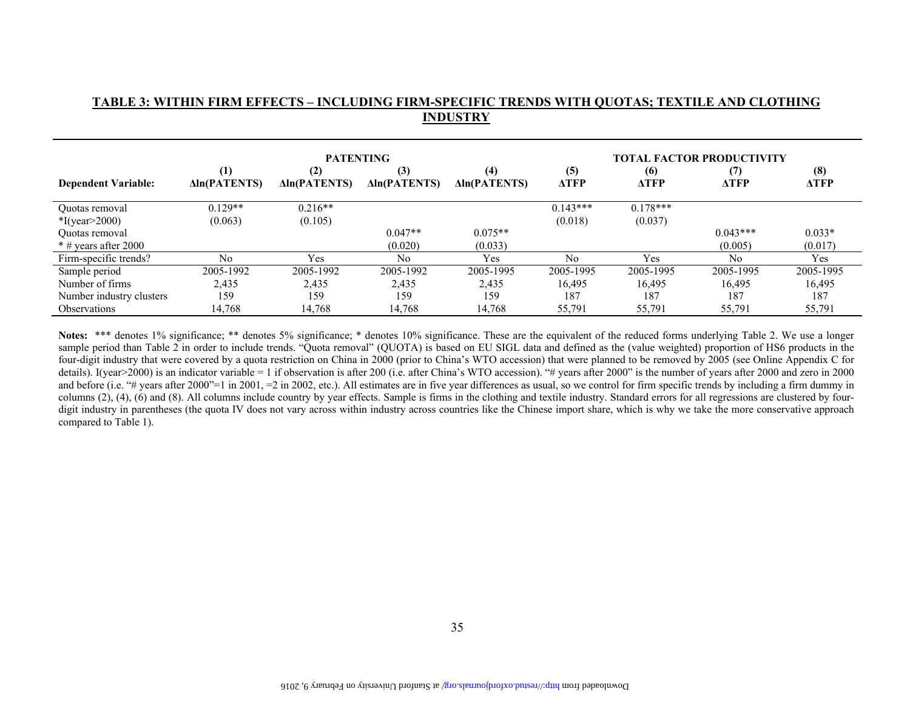## **INDUSTRY PATENTING TOTAL FACTOR PRODUCTIVITY (1) (2) (3) (4) (5) (6) (7) (8) Dependent Variable: Δln(PATENTS) Δln(PATENTS) Δln(PATENTS) Δln(PATENTS) ΔTFP ΔTFP ΔTFP ΔTFP** Quotas removal  $0.129**$   $0.216**$   $0.216**$   $0.143***$   $0.178***$   $0.178***$ \*I(year>2000) (0.063) (0.105) (0.018) (0.037) Quotas removal  $0.043**$   $0.047**$   $0.075**$   $0.043**$   $0.033*$ \* # years after 2000 (0.020) (0.033) (0.005) (0.017) Firm-specific trends? No Yes No Yes No Yes No Yes Sample period 2005-1992 2005-1992 2005-1992 2005-1995 2005-1995 2005-1995 2005-1995 2005-1995 Number of firms 2,435 2,435 2,435 2,435 2,435 16,495 16,495 16,495 16,495 16,495 Number industry clusters 159 159 159 159 187 187 187 187 Observations 14,768 14,768 14,768 14,768 55,791 55,791 55,791 55,791

**TABLE 3: WITHIN FIRM EFFECTS – INCLUDING FIRM-SPECIFIC TRENDS WITH QUOTAS; TEXTILE AND CLOTHING** 

Notes: \*\*\* denotes 1% significance; \*\* denotes 5% significance; \* denotes 10% significance. These are the equivalent of the reduced forms underlying Table 2. We use a longer sample period than Table 2 in order to include trends. "Quota removal" (QUOTA) is based on EU SIGL data and defined as the (value weighted) proportion of HS6 products in the four-digit industry that were covered by a quota restriction on China in 2000 (prior to China's WTO accession) that were planned to be removed by 2005 (see Online Appendix C for details). I(year>2000) is an indicator variable = 1 if observation is after 200 (i.e. after China's WTO accession). "# years after 2000" is the number of years after 2000 and zero in 2000 and before (i.e. "# years after 2000"=1 in 2001, =2 in 2002, etc.). All estimates are in five year differences as usual, so we control for firm specific trends by including a firm dummy in columns (2), (4), (6) and (8). All columns include country by year effects. Sample is firms in the clothing and textile industry. Standard errors for all regressions are clustered by fourdigit industry in parentheses (the quota IV does not vary across within industry across countries like the Chinese import share, which is why we take the more conservative approach compared to Table 1).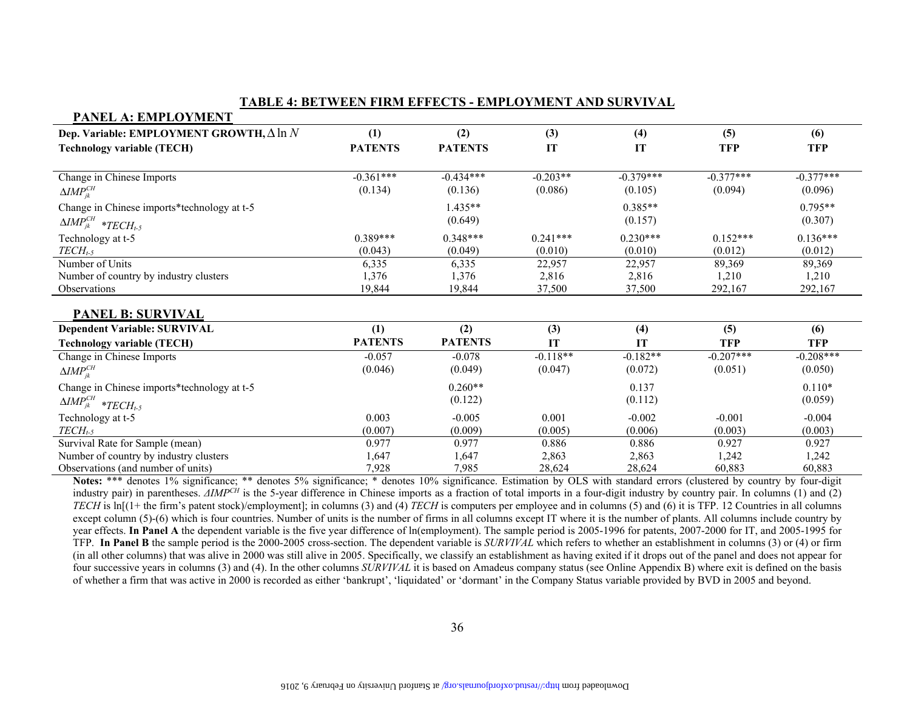#### **TABLE 4: BETWEEN FIRM EFFECTS - EMPLOYMENT AND SURVIVAL**

| PANEL A: EMPLOYMENT                                                                                   |                |                                                                                                                         |            |             |             |             |
|-------------------------------------------------------------------------------------------------------|----------------|-------------------------------------------------------------------------------------------------------------------------|------------|-------------|-------------|-------------|
| Dep. Variable: EMPLOYMENT GROWTH, $\Delta \ln N$                                                      | (1)            | (2)                                                                                                                     | (3)        | (4)         | (5)         | (6)         |
| <b>Technology variable (TECH)</b>                                                                     | <b>PATENTS</b> | <b>PATENTS</b>                                                                                                          | IT         | IT          | <b>TFP</b>  | <b>TFP</b>  |
|                                                                                                       |                |                                                                                                                         |            |             |             |             |
| Change in Chinese Imports                                                                             | $-0.361***$    | $-0.434***$                                                                                                             | $-0.203**$ | $-0.379***$ | $-0.377***$ | $-0.377***$ |
| $\Delta M P_{ik}^{CH}$                                                                                | (0.134)        | (0.136)                                                                                                                 | (0.086)    | (0.105)     | (0.094)     | (0.096)     |
| Change in Chinese imports*technology at t-5                                                           |                | 1.435**                                                                                                                 |            | $0.385**$   |             | $0.795**$   |
| $\Delta \textit{IMP}_{\textit{jk}}^{\textit{CH}} \ \ \ast \textit{TECH}_{\textit{t-5}}$               |                | (0.649)                                                                                                                 |            | (0.157)     |             | (0.307)     |
| Technology at t-5                                                                                     | $0.389***$     | $0.348***$                                                                                                              | $0.241***$ | $0.230***$  | $0.152***$  | $0.136***$  |
| $TECH_{t-5}$                                                                                          | (0.043)        | (0.049)                                                                                                                 | (0.010)    | (0.010)     | (0.012)     | (0.012)     |
| Number of Units                                                                                       | 6,335          | 6,335                                                                                                                   | 22,957     | 22,957      | 89,369      | 89,369      |
| Number of country by industry clusters                                                                | 1,376          | 1,376                                                                                                                   | 2,816      | 2,816       | 1,210       | 1,210       |
| Observations                                                                                          | 19,844         | 19,844                                                                                                                  | 37,500     | 37,500      | 292,167     | 292,167     |
|                                                                                                       |                |                                                                                                                         |            |             |             |             |
| <b>PANEL B: SURVIVAL</b>                                                                              |                |                                                                                                                         |            |             |             |             |
| Dependent Variable: SURVIVAL                                                                          | (1)            | (2)                                                                                                                     | (3)        | (4)         | (5)         | (6)         |
| <b>Technology variable (TECH)</b>                                                                     | <b>PATENTS</b> | <b>PATENTS</b>                                                                                                          | IT         | IT          | <b>TFP</b>  | <b>TFP</b>  |
| Change in Chinese Imports                                                                             | $-0.057$       | $-0.078$                                                                                                                | $-0.118**$ | $-0.182**$  | $-0.207***$ | $-0.208***$ |
| $\Delta M P_{ik}^{CH}$                                                                                | (0.046)        | (0.049)                                                                                                                 | (0.047)    | (0.072)     | (0.051)     | (0.050)     |
| Change in Chinese imports*technology at t-5                                                           |                | $0.260**$                                                                                                               |            | 0.137       |             | $0.110*$    |
| $\Delta$ <i>IMP<sup>CH</sup></i> * <i>TECH</i> <sub>t-5</sub>                                         |                | (0.122)                                                                                                                 |            | (0.112)     |             | (0.059)     |
| Technology at t-5                                                                                     | 0.003          | $-0.005$                                                                                                                | 0.001      | $-0.002$    | $-0.001$    | $-0.004$    |
| $TECH_{t-5}$                                                                                          | (0.007)        | (0.009)                                                                                                                 | (0.005)    | (0.006)     | (0.003)     | (0.003)     |
| Survival Rate for Sample (mean)                                                                       | 0.977          | 0.977                                                                                                                   | 0.886      | 0.886       | 0.927       | 0.927       |
| Number of country by industry clusters                                                                | 1,647          | 1,647                                                                                                                   | 2,863      | 2,863       | 1,242       | 1,242       |
| Observations (and number of units)                                                                    | 7,928          | 7,985                                                                                                                   | 28,624     | 28,624      | 60,883      | 60,883      |
| $N_{i+1}$ , *** $j_{i+1}$ , $10/2$ , $\ldots$ , ** $j_{i+1}$ , ** $j_{i+1}$ , $50/2$ , $\ldots$ , $5$ |                | $\star$ denotes 100/ similar $F_{\text{c}}$ and $F_{\text{c}}$ and $F_{\text{c}}$ and $F_{\text{c}}$ and $F_{\text{c}}$ |            |             |             |             |

Notes: \*\*\* denotes 1% significance; \*\* denotes 5% significance; \* denotes 10% significance. Estimation by OLS with standard errors (clustered by country by four-digit industry pair) in parentheses. *ΔIMP<sup>CH</sup>* is the 5-year difference in Chinese imports as a fraction of total imports in a four-digit industry by country pair. In columns (1) and (2) *TECH* is ln[(1+ the firm's patent stock)/employment]; in columns (3) and (4) *TECH* is computers per employee and in columns (5) and (6) it is TFP. 12 Countries in all columns except column  $(5)-(6)$  which is four countries. Number of units is the number of firms in all columns except IT where it is the number of plants. All columns include country by year effects. In Panel A the dependent variable is the five year difference of ln(employment). The sample period is 2005-1996 for patents, 2007-2000 for IT, and 2005-1995 for TFP. **In Panel B** the sample period is the 2000-2005 cross-section. The dependent variable is *SURVIVAL* which refers to whether an establishment in columns (3) or (4) or firm (in all other columns) that was alive in 2000 was still alive in 2005. Specifically, we classify an establishment as having exited if it drops out of the panel and does not appear for four successive years in columns (3) and (4). In the other columns *SURVIVAL* it is based on Amadeus company status (see Online Appendix B) where exit is defined on the basis of whether a firm that was active in 2000 is recorded as either 'bankrupt', 'liquidated' or 'dormant' in the Company Status variable provided by BVD in 2005 and beyond.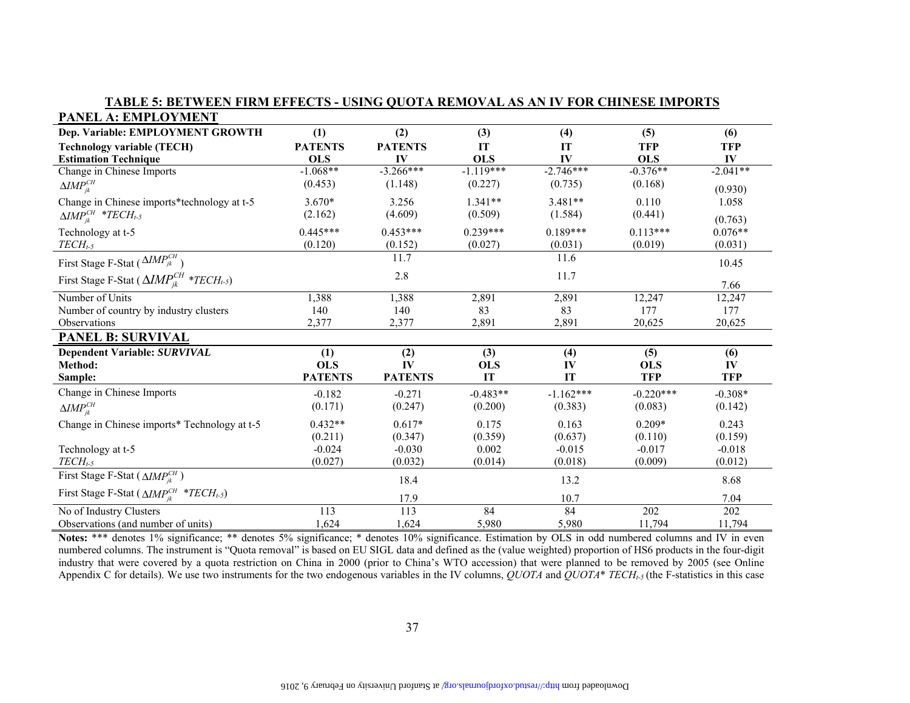| PANEL A: EMPLOYMENT                                                   |                |                  |             |             |             |            |
|-----------------------------------------------------------------------|----------------|------------------|-------------|-------------|-------------|------------|
| Dep. Variable: EMPLOYMENT GROWTH                                      | (1)            | (2)              | (3)         | (4)         | (5)         | (6)        |
| <b>Technology variable (TECH)</b>                                     | <b>PATENTS</b> | <b>PATENTS</b>   | IT          | IT          | <b>TFP</b>  | <b>TFP</b> |
| <b>Estimation Technique</b>                                           | <b>OLS</b>     | IV               | <b>OLS</b>  | IV          | <b>OLS</b>  | IV         |
| Change in Chinese Imports                                             | $-1.068**$     | $-3.266***$      | $-1.119***$ | $-2.746***$ | $-0.376**$  | $-2.041**$ |
| $\Delta M P_{ik}^{CH}$                                                | (0.453)        | (1.148)          | (0.227)     | (0.735)     | (0.168)     | (0.930)    |
| Change in Chinese imports*technology at t-5                           | $3.670*$       | 3.256            | $1.341**$   | $3.481**$   | 0.110       | 1.058      |
| $\Delta M P_{ik}^{CH}$ *TECH <sub>t-5</sub>                           | (2.162)        | (4.609)          | (0.509)     | (1.584)     | (0.441)     | (0.763)    |
| Technology at t-5                                                     | $0.445***$     | $0.453***$       | $0.239***$  | $0.189***$  | $0.113***$  | $0.076**$  |
| $TECH_{t-5}$                                                          | (0.120)        | (0.152)          | (0.027)     | (0.031)     | (0.019)     | (0.031)    |
| First Stage F-Stat ( $\sqrt{MIP_{jk}^{CH}}$ )                         |                | 11.7             |             | 11.6        |             | 10.45      |
| First Stage F-Stat ( $\Delta IMP_{ik}^{CH*}$ *TECH <sub>t-5</sub> )   |                | 2.8              |             | 11.7        |             |            |
|                                                                       |                |                  |             |             |             | 7.66       |
| Number of Units                                                       | 1,388          | 1,388            | 2,891       | 2,891       | 12,247      | 12,247     |
| Number of country by industry clusters                                | 140            | 140              | 83          | 83          | 177         | 177        |
| Observations                                                          | 2,377          | 2,377            | 2,891       | 2,891       | 20,625      | 20,625     |
| <b>PANEL B: SURVIVAL</b>                                              |                |                  |             |             |             |            |
| Dependent Variable: SURVIVAL                                          | (1)            | (2)              | (3)         | (4)         | (5)         | (6)        |
| Method:                                                               | <b>OLS</b>     | IV               | <b>OLS</b>  | IV          | <b>OLS</b>  | IV         |
| Sample:                                                               | <b>PATENTS</b> | <b>PATENTS</b>   | IT          | IT          | <b>TFP</b>  | <b>TFP</b> |
| Change in Chinese Imports                                             | $-0.182$       | $-0.271$         | $-0.483**$  | $-1.162***$ | $-0.220***$ | $-0.308*$  |
| $\Delta$ <i>IMP<sub>ik</sub></i>                                      | (0.171)        | (0.247)          | (0.200)     | (0.383)     | (0.083)     | (0.142)    |
| Change in Chinese imports* Technology at t-5                          | $0.432**$      | $0.617*$         | 0.175       | 0.163       | $0.209*$    | 0.243      |
|                                                                       | (0.211)        | (0.347)          | (0.359)     | (0.637)     | (0.110)     | (0.159)    |
| Technology at t-5                                                     | $-0.024$       | $-0.030$         | 0.002       | $-0.015$    | $-0.017$    | $-0.018$   |
| $TECH_{t-5}$                                                          | (0.027)        | (0.032)          | (0.014)     | (0.018)     | (0.009)     | (0.012)    |
| First Stage F-Stat ( $\triangle IMP_{ik}^{CH}$ )                      |                | 18.4             |             | 13.2        |             | 8.68       |
| First Stage F-Stat ( $\triangle IMP_{ik}^{CH}$ *TECH <sub>t-5</sub> ) |                | 17.9             |             | 10.7        |             | 7.04       |
| No of Industry Clusters                                               | 113            | $\overline{113}$ | 84          | 84          | 202         | 202        |
| Observations (and number of units)                                    | 1,624          | 1,624            | 5,980       | 5,980       | 11,794      | 11,794     |

**TABLE 5: BETWEEN FIRM EFFECTS - USING QUOTA REMOVAL AS AN IV FOR CHINESE IMPORTS** 

**Notes:** \*\*\* denotes 1% significance; \*\* denotes 5% significance; \* denotes 10% significance. Estimation by OLS in odd numbered columns and IV in even numbered columns. The instrument is "Quota removal" is based on EU SIGL data and defined as the (value weighted) proportion of HS6 products in the four-digit industry that were covered by a quota restriction on China in 2000 (prior to China's WTO accession) that were planned to be removed by 2005 (see Online Appendix C for details). We use two instruments for the two endogenous variables in the IV columns,  $\ddot{O}UOTA$  and  $\ddot{O}UOTA^*$  *TECH<sub>t-5</sub>* (the F-statistics in this case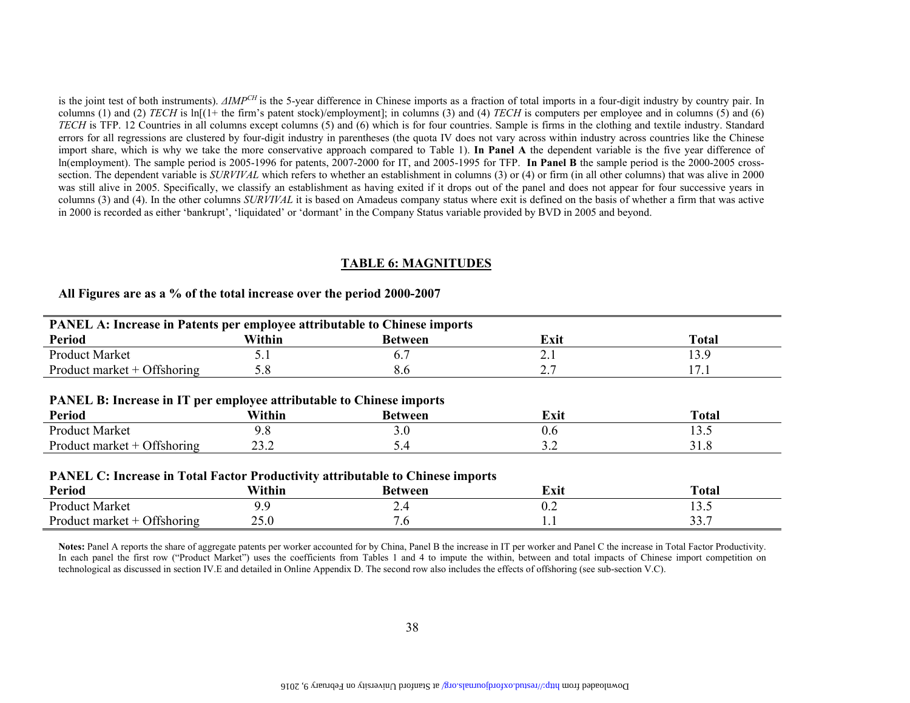is the joint test of both instruments). *ΔIMPCH* is the 5-year difference in Chinese imports as a fraction of total imports in a four-digit industry by country pair. In columns (1) and (2) *TECH* is ln[(1+ the firm's patent stock)/employment]; in columns (3) and (4) *TECH* is computers per employee and in columns (5) and (6) *TECH* is TFP. 12 Countries in all columns except columns (5) and (6) which is for four countries. Sample is firms in the clothing and textile industry. Standard errors for all regressions are clustered by four-digit industry in parentheses (the quota IV does not vary across within industry across countries like the Chinese import share, which is why we take the more conservative approach compared to Table 1). **In Panel A** the dependent variable is the five year difference of ln(employment). The sample period is 2005-1996 for patents, 2007-2000 for IT, and 2005-1995 for TFP. **In Panel B** the sample period is the 2000-2005 crosssection. The dependent variable is *SURVIVAL* which refers to whether an establishment in columns (3) or (4) or firm (in all other columns) that was alive in 2000 was still alive in 2005. Specifically, we classify an establishment as having exited if it drops out of the panel and does not appear for four successive years in columns (3) and (4). In the other columns *SURVIVAL* it is based on Amadeus company status where exit is defined on the basis of whether a firm that was active in 2000 is recorded as either 'bankrupt', 'liquidated' or 'dormant' in the Company Status variable provided by BVD in 2005 and beyond.

#### **TABLE 6: MAGNITUDES**

| PANEL A: Increase in Patents per employee attributable to Chinese imports             |        |                |               |              |  |  |  |  |  |  |
|---------------------------------------------------------------------------------------|--------|----------------|---------------|--------------|--|--|--|--|--|--|
| <b>Period</b>                                                                         | Within | <b>Between</b> | Exit          | <b>Total</b> |  |  |  |  |  |  |
| <b>Product Market</b>                                                                 | 5.1    | 6.7            | 2.1           | 13.9         |  |  |  |  |  |  |
| Product market $+$ Offshoring                                                         | 5.8    | 8.6            | 2.7           | 17.1         |  |  |  |  |  |  |
|                                                                                       |        |                |               |              |  |  |  |  |  |  |
| <b>PANEL B: Increase in IT per employee attributable to Chinese imports</b>           |        |                |               |              |  |  |  |  |  |  |
| <b>Period</b>                                                                         | Within | <b>Between</b> | Exit          | <b>Total</b> |  |  |  |  |  |  |
| <b>Product Market</b>                                                                 | 9.8    | 3.0            | 0.6           | 13.5         |  |  |  |  |  |  |
| Product market $+$ Offshoring                                                         | 23.2   | 5.4            | 3.2           | 31.8         |  |  |  |  |  |  |
|                                                                                       |        |                |               |              |  |  |  |  |  |  |
| <b>PANEL C: Increase in Total Factor Productivity attributable to Chinese imports</b> |        |                |               |              |  |  |  |  |  |  |
| <b>Period</b>                                                                         | Within | <b>Between</b> | Exit          | <b>Total</b> |  |  |  |  |  |  |
| <b>Product Market</b>                                                                 | 99     | 2.4            | $0.2^{\circ}$ | 13.5         |  |  |  |  |  |  |
| Product market $+$ Offshoring                                                         | 25.0   | 7.6            | 1.1           | 33.7         |  |  |  |  |  |  |

## **All Figures are as a % of the total increase over the period 2000-2007**

**Notes:** Panel A reports the share of aggregate patents per worker accounted for by China, Panel B the increase in IT per worker and Panel C the increase in Total Factor Productivity. In each panel the first row ("Product Market") uses the coefficients from Tables 1 and 4 to impute the within, between and total impacts of Chinese import competition on technological as discussed in section IV.E and detailed in Online Appendix D. The second row also includes the effects of offshoring (see sub-section V.C).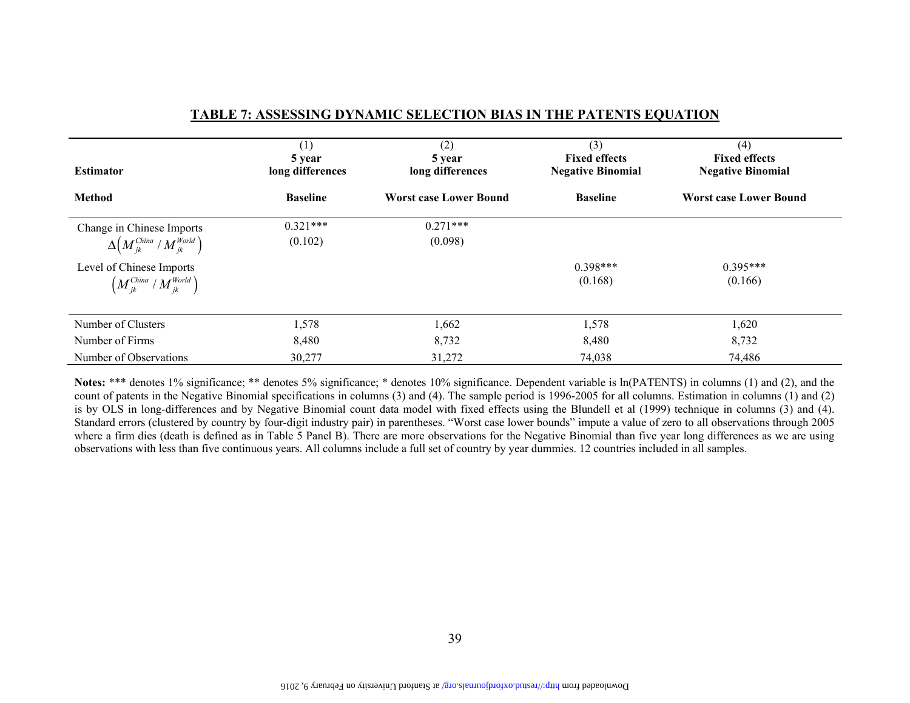| <b>Estimator</b>                                                                                                                                                 | (1)<br>5 year<br>long differences | (2)<br>5 year<br>long differences | (3)<br><b>Fixed effects</b><br><b>Negative Binomial</b> | (4)<br><b>Fixed effects</b><br><b>Negative Binomial</b> |
|------------------------------------------------------------------------------------------------------------------------------------------------------------------|-----------------------------------|-----------------------------------|---------------------------------------------------------|---------------------------------------------------------|
| <b>Method</b>                                                                                                                                                    | <b>Baseline</b>                   | <b>Worst case Lower Bound</b>     | <b>Baseline</b>                                         | <b>Worst case Lower Bound</b>                           |
| Change in Chinese Imports<br>$\Delta \left(M_{jk}^{China} / M_{jk}^{World}\right)$<br>Level of Chinese Imports<br>$\left(M_{ik}^{China} / M_{ik}^{World}\right)$ | $0.321***$<br>(0.102)             | $0.271***$<br>(0.098)             | $0.398***$<br>(0.168)                                   | $0.395***$<br>(0.166)                                   |
| Number of Clusters                                                                                                                                               | 1,578                             | 1,662                             | 1,578                                                   | 1,620                                                   |
| Number of Firms                                                                                                                                                  | 8,480                             | 8,732                             | 8,480                                                   | 8,732                                                   |
| Number of Observations                                                                                                                                           | 30,277                            | 31,272                            | 74,038                                                  | 74,486                                                  |

#### **TABLE 7: ASSESSING DYNAMIC SELECTION BIAS IN THE PATENTS EQUATION**

Notes: \*\*\* denotes 1% significance; \*\* denotes 5% significance; \* denotes 10% significance. Dependent variable is  $ln(PATENTS)$  in columns (1) and (2), and the count of patents in the Negative Binomial specifications in columns (3) and (4). The sample period is 1996-2005 for all columns. Estimation in columns (1) and (2) is by OLS in long-differences and by Negative Binomial count data model with fixed effects using the Blundell et al (1999) technique in columns (3) and (4). Standard errors (clustered by country by four-digit industry pair) in parentheses. "Worst case lower bounds" impute a value of zero to all observations through 2005 where a firm dies (death is defined as in Table 5 Panel B). There are more observations for the Negative Binomial than five year long differences as we are using observations with less than five continuous years. All columns include a full set of country by year dummies. 12 countries included in all samples.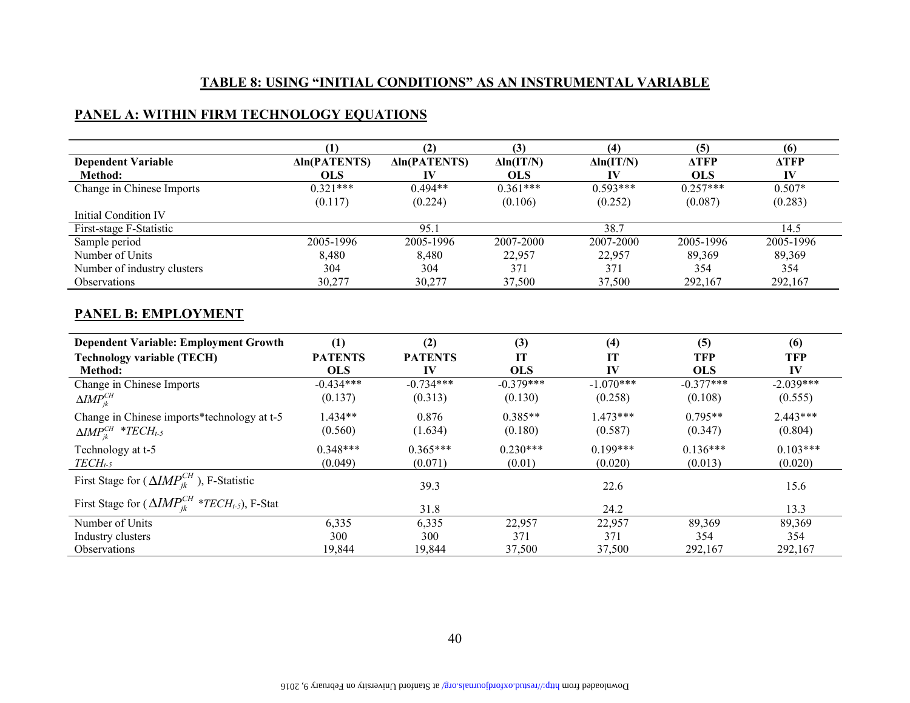## **TABLE 8: USING "INITIAL CONDITIONS" AS AN INSTRUMENTAL VARIABLE**

## **PANEL A: WITHIN FIRM TECHNOLOGY EQUATIONS**

|                             |                     | (2)                 | (3)               | (4)               | 15          | (6)         |
|-----------------------------|---------------------|---------------------|-------------------|-------------------|-------------|-------------|
| <b>Dependent Variable</b>   | <b>Aln(PATENTS)</b> | <b>Aln(PATENTS)</b> | $\Delta ln(IT/N)$ | $\Delta$ ln(IT/N) | <b>ATFP</b> | <b>ATFP</b> |
| Method:                     | <b>OLS</b>          |                     | <b>OLS</b>        |                   | <b>OLS</b>  | IV          |
| Change in Chinese Imports   | $0.321***$          | $0.494**$           | $0.361***$        | $0.593***$        | $0.257***$  | $0.507*$    |
|                             | (0.117)             | (0.224)             | (0.106)           | (0.252)           | (0.087)     | (0.283)     |
| Initial Condition IV        |                     |                     |                   |                   |             |             |
| First-stage F-Statistic     |                     | 95.1                |                   | 38.7              |             | 14.5        |
| Sample period               | 2005-1996           | 2005-1996           | 2007-2000         | 2007-2000         | 2005-1996   | 2005-1996   |
| Number of Units             | 8,480               | 8,480               | 22,957            | 22,957            | 89,369      | 89,369      |
| Number of industry clusters | 304                 | 304                 | 371               | 371               | 354         | 354         |
| <b>Observations</b>         | 30,277              | 30,277              | 37,500            | 37,500            | 292,167     | 292,167     |

#### **PANEL B: EMPLOYMENT**

| <b>Dependent Variable: Employment Growth</b>                  | (1)            | (2)            | (3)         | (4)         | (5)         | (6)         |
|---------------------------------------------------------------|----------------|----------------|-------------|-------------|-------------|-------------|
| <b>Technology variable (TECH)</b>                             | <b>PATENTS</b> | <b>PATENTS</b> | IT          | <b>IT</b>   | <b>TFP</b>  | <b>TFP</b>  |
| Method:                                                       | <b>OLS</b>     | IV             | <b>OLS</b>  | IV          | <b>OLS</b>  | IV          |
| Change in Chinese Imports                                     | $-0.434***$    | $-0.734***$    | $-0.379***$ | $-1.070***$ | $-0.377***$ | $-2.039***$ |
| $\Delta$ <i>IMP</i> $_{ik}^{CH}$                              | (0.137)        | (0.313)        | (0.130)     | (0.258)     | (0.108)     | (0.555)     |
| Change in Chinese imports*technology at t-5                   | $1.434**$      | 0.876          | $0.385**$   | $1.473***$  | $0.795**$   | $2.443***$  |
| $\Delta M P_{ik}^{CH}$ *TECH <sub>t-5</sub>                   | (0.560)        | (1.634)        | (0.180)     | (0.587)     | (0.347)     | (0.804)     |
| Technology at t-5                                             | $0.348***$     | $0.365***$     | $0.230***$  | $0.199***$  | $0.136***$  | $0.103***$  |
| $TECH_{t-5}$                                                  | (0.049)        | (0.071)        | (0.01)      | (0.020)     | (0.013)     | (0.020)     |
| First Stage for ( $\Delta IMP_{ik}^{CH}$ ), F-Statistic       |                | 39.3           |             | 22.6        |             | 15.6        |
| First Stage for $(\Delta IMP_{ik}^{CH**TECH_{t-5}})$ , F-Stat |                | 31.8           |             | 24.2        |             | 13.3        |
| Number of Units                                               | 6,335          | 6,335          | 22,957      | 22,957      | 89,369      | 89,369      |
| Industry clusters                                             | 300            | 300            | 371         | 371         | 354         | 354         |
| Observations                                                  | 19,844         | 19,844         | 37,500      | 37,500      | 292,167     | 292,167     |